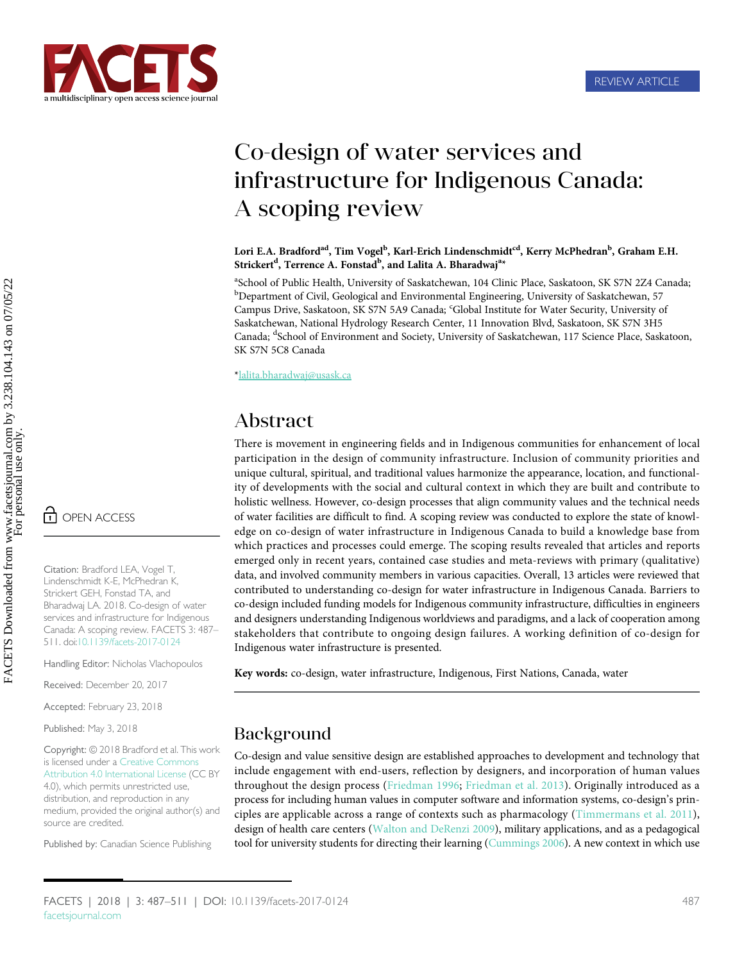

## Co-design of water services and infrastructure for Indigenous Canada: A scoping review

Lori E.A. Bradford<sup>ad</sup>, Tim Vogel<sup>b</sup>, Karl-Erich Lindenschmidt<sup>cd</sup>, Kerry McPhedran<sup>b</sup>, Graham E.H. Strickert<sup>d</sup>, Terrence A. Fonstad<sup>b</sup>, and Lalita A. Bharadwaj<sup>a</sup>\*

<sup>a</sup>School of Public Health, University of Saskatchewan, 104 Clinic Place, Saskatoon, SK S7N 2Z4 Canada; <sup>b</sup>Department of Civil, Geological and Environmental Engineering, University of Saskatchewan, 57 Campus Drive, Saskatoon, SK S7N 5A9 Canada; 'Global Institute for Water Security, University of Saskatchewan, National Hydrology Research Center, 11 Innovation Blvd, Saskatoon, SK S7N 3H5 Canada; <sup>d</sup>School of Environment and Society, University of Saskatchewan, 117 Science Place, Saskatoon, SK S7N 5C8 Canada

\*[lalita.bharadwaj@usask.ca](mailto:lalita.bharadwaj@usask.ca)

## Abstract

There is movement in engineering fields and in Indigenous communities for enhancement of local participation in the design of community infrastructure. Inclusion of community priorities and unique cultural, spiritual, and traditional values harmonize the appearance, location, and functionality of developments with the social and cultural context in which they are built and contribute to holistic wellness. However, co-design processes that align community values and the technical needs of water facilities are difficult to find. A scoping review was conducted to explore the state of knowledge on co-design of water infrastructure in Indigenous Canada to build a knowledge base from which practices and processes could emerge. The scoping results revealed that articles and reports emerged only in recent years, contained case studies and meta-reviews with primary (qualitative) data, and involved community members in various capacities. Overall, 13 articles were reviewed that contributed to understanding co-design for water infrastructure in Indigenous Canada. Barriers to co-design included funding models for Indigenous community infrastructure, difficulties in engineers and designers understanding Indigenous worldviews and paradigms, and a lack of cooperation among stakeholders that contribute to ongoing design failures. A working definition of co-design for Indigenous water infrastructure is presented.

Key words: co-design, water infrastructure, Indigenous, First Nations, Canada, water

## Background

Co-design and value sensitive design are established approaches to development and technology that include engagement with end-users, reflection by designers, and incorporation of human values throughout the design process ([Friedman 1996](#page-19-0); [Friedman et al. 2013\)](#page-19-1). Originally introduced as a process for including human values in computer software and information systems, co-design's principles are applicable across a range of contexts such as pharmacology ([Timmermans et al. 2011\)](#page-23-0), design of health care centers ([Walton and DeRenzi 2009](#page-23-1)), military applications, and as a pedagogical tool for university students for directing their learning [\(Cummings 2006\)](#page-18-0). A new context in which use

Citation: Bradford LEA, Vogel T, Lindenschmidt K-E, McPhedran K, Strickert GEH, Fonstad TA, and Bharadwaj LA. 2018. Co-design of water services and infrastructure for Indigenous Canada: A scoping review. FACETS 3: 487– 511. doi[:10.1139/facets-2017-0124](http://dx.doi.org/10.1139/facets-2017-0124)

Handling Editor: Nicholas Vlachopoulos

Received: December 20, 2017

Accepted: February 23, 2018

Published: May 3, 2018

Copyright: © 2018 Bradford et al. This work is licensed under a [Creative Commons](http://creativecommons.org/licenses/by/4.0/deed.en_GB) [Attribution 4.0 International License](http://creativecommons.org/licenses/by/4.0/deed.en_GB) (CC BY 4.0), which permits unrestricted use, distribution, and reproduction in any medium, provided the original author(s) and source are credited.

Published by: Canadian Science Publishing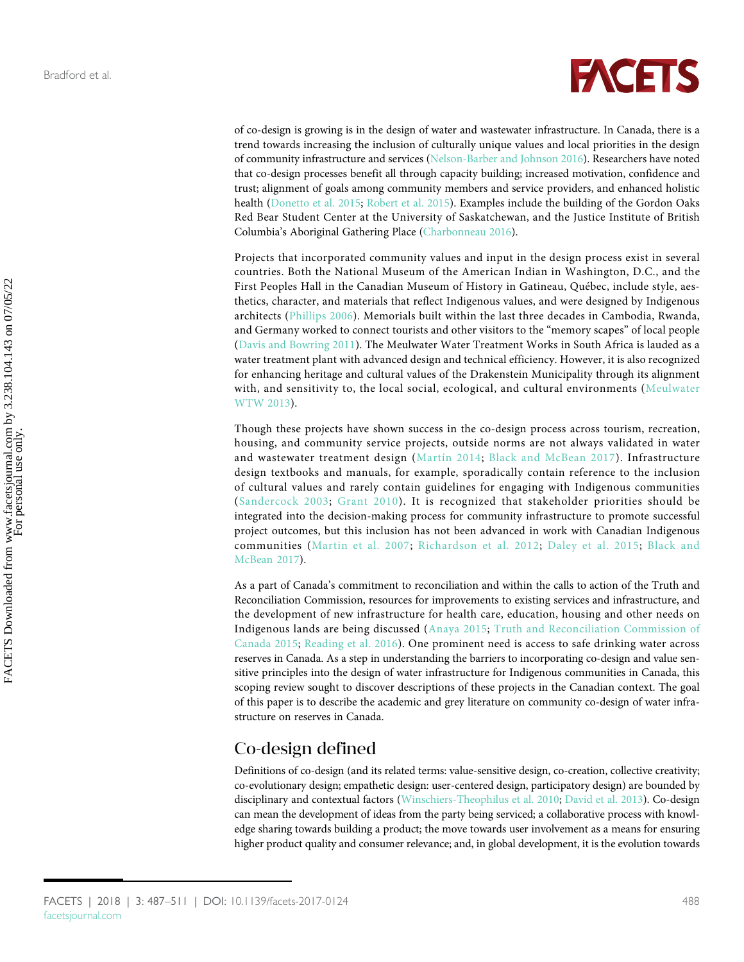

of co-design is growing is in the design of water and wastewater infrastructure. In Canada, there is a trend towards increasing the inclusion of culturally unique values and local priorities in the design of community infrastructure and services [\(Nelson-Barber and Johnson 2016](#page-21-0)). Researchers have noted that co-design processes benefit all through capacity building; increased motivation, confidence and trust; alignment of goals among community members and service providers, and enhanced holistic health ([Donetto et al. 2015;](#page-19-2) [Robert et al. 2015](#page-22-0)). Examples include the building of the Gordon Oaks Red Bear Student Center at the University of Saskatchewan, and the Justice Institute of British Columbia's Aboriginal Gathering Place [\(Charbonneau 2016](#page-18-1)).

Projects that incorporated community values and input in the design process exist in several countries. Both the National Museum of the American Indian in Washington, D.C., and the First Peoples Hall in the Canadian Museum of History in Gatineau, Québec, include style, aesthetics, character, and materials that reflect Indigenous values, and were designed by Indigenous architects ([Phillips 2006\)](#page-22-1). Memorials built within the last three decades in Cambodia, Rwanda, and Germany worked to connect tourists and other visitors to the "memory scapes" of local people [\(Davis and Bowring 2011\)](#page-18-2). The Meulwater Water Treatment Works in South Africa is lauded as a water treatment plant with advanced design and technical efficiency. However, it is also recognized for enhancing heritage and cultural values of the Drakenstein Municipality through its alignment with, and sensitivity to, the local social, ecological, and cultural environments ([Meulwater](#page-21-1) [WTW 2013](#page-21-1)).

Though these projects have shown success in the co-design process across tourism, recreation, housing, and community service projects, outside norms are not always validated in water and wastewater treatment design ([Martín 2014](#page-21-2); [Black and McBean 2017\)](#page-18-3). Infrastructure design textbooks and manuals, for example, sporadically contain reference to the inclusion of cultural values and rarely contain guidelines for engaging with Indigenous communities ([Sandercock 2003;](#page-22-2) [Grant 2010](#page-19-3)). It is recognized that stakeholder priorities should be integrated into the decision-making process for community infrastructure to promote successful project outcomes, but this inclusion has not been advanced in work with Canadian Indigenous communities ([Martin et al. 2007;](#page-21-3) [Richardson et al. 2012](#page-22-3); [Daley et al. 2015](#page-18-4); [Black and](#page-18-3) [McBean 2017\)](#page-18-3).

As a part of Canada's commitment to reconciliation and within the calls to action of the Truth and Reconciliation Commission, resources for improvements to existing services and infrastructure, and the development of new infrastructure for health care, education, housing and other needs on Indigenous lands are being discussed ([Anaya 2015](#page-17-0); [Truth and Reconciliation Commission of](#page-23-2) [Canada 2015](#page-23-2); [Reading et al. 2016\)](#page-22-4). One prominent need is access to safe drinking water across reserves in Canada. As a step in understanding the barriers to incorporating co-design and value sensitive principles into the design of water infrastructure for Indigenous communities in Canada, this scoping review sought to discover descriptions of these projects in the Canadian context. The goal of this paper is to describe the academic and grey literature on community co-design of water infrastructure on reserves in Canada.

## Co-design defined

Definitions of co-design (and its related terms: value-sensitive design, co-creation, collective creativity; co-evolutionary design; empathetic design: user-centered design, participatory design) are bounded by disciplinary and contextual factors [\(Winschiers-Theophilus et al. 2010](#page-24-0); [David et al. 2013](#page-18-5)). Co-design can mean the development of ideas from the party being serviced; a collaborative process with knowledge sharing towards building a product; the move towards user involvement as a means for ensuring higher product quality and consumer relevance; and, in global development, it is the evolution towards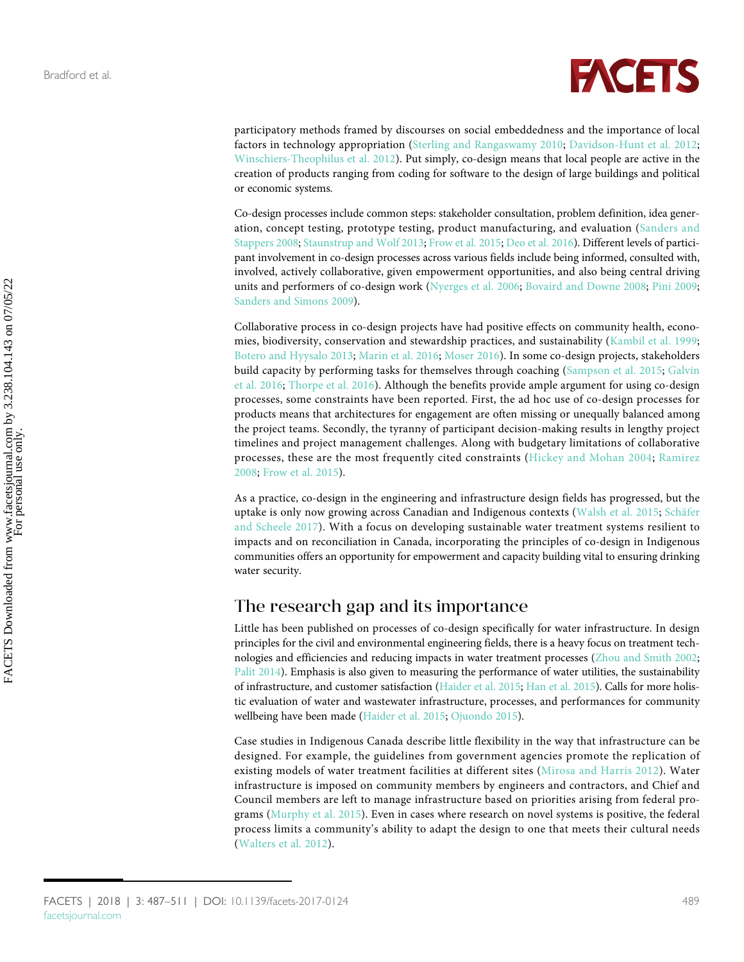

participatory methods framed by discourses on social embeddedness and the importance of local factors in technology appropriation ([Sterling and Rangaswamy 2010;](#page-23-3) [Davidson-Hunt et al. 2012;](#page-19-4) [Winschiers-Theophilus et al. 2012\)](#page-24-1). Put simply, co-design means that local people are active in the creation of products ranging from coding for software to the design of large buildings and political or economic systems.

Co-design processes include common steps: stakeholder consultation, problem definition, idea generation, concept testing, prototype testing, product manufacturing, and evaluation ([Sanders and](#page-22-5) [Stappers 2008;](#page-22-5) [Staunstrup and Wolf 2013;](#page-23-4) [Frow et al. 2015;](#page-19-5) [Deo et al. 2016](#page-19-6)). Different levels of participant involvement in co-design processes across various fields include being informed, consulted with, involved, actively collaborative, given empowerment opportunities, and also being central driving units and performers of co-design work ([Nyerges et al. 2006;](#page-21-4) [Bovaird and Downe 2008;](#page-18-6) [Pini 2009;](#page-22-6) [Sanders and Simons 2009](#page-22-7)).

Collaborative process in co-design projects have had positive effects on community health, economies, biodiversity, conservation and stewardship practices, and sustainability ([Kambil et al. 1999;](#page-20-0) [Botero and Hyysalo 2013;](#page-18-7) [Marin et al. 2016](#page-21-5); [Moser 2016](#page-21-6)). In some co-design projects, stakeholders build capacity by performing tasks for themselves through coaching ([Sampson et al. 2015](#page-22-8); [Galvin](#page-19-7) [et al. 2016;](#page-19-7) [Thorpe et al. 2016](#page-23-5)). Although the benefits provide ample argument for using co-design processes, some constraints have been reported. First, the ad hoc use of co-design processes for products means that architectures for engagement are often missing or unequally balanced among the project teams. Secondly, the tyranny of participant decision-making results in lengthy project timelines and project management challenges. Along with budgetary limitations of collaborative processes, these are the most frequently cited constraints [\(Hickey and Mohan 2004;](#page-20-1) [Ramirez](#page-22-9) [2008;](#page-22-9) [Frow et al. 2015\)](#page-19-5).

As a practice, co-design in the engineering and infrastructure design fields has progressed, but the uptake is only now growing across Canadian and Indigenous contexts [\(Walsh et al. 2015](#page-23-6); [Schäfer](#page-22-10) [and Scheele 2017](#page-22-10)). With a focus on developing sustainable water treatment systems resilient to impacts and on reconciliation in Canada, incorporating the principles of co-design in Indigenous communities offers an opportunity for empowerment and capacity building vital to ensuring drinking water security.

## The research gap and its importance

Little has been published on processes of co-design specifically for water infrastructure. In design principles for the civil and environmental engineering fields, there is a heavy focus on treatment technologies and efficiencies and reducing impacts in water treatment processes ([Zhou and Smith 2002;](#page-24-2) [Palit 2014](#page-22-11)). Emphasis is also given to measuring the performance of water utilities, the sustainability of infrastructure, and customer satisfaction ([Haider et al. 2015;](#page-19-8) [Han et al. 2015](#page-20-2)). Calls for more holistic evaluation of water and wastewater infrastructure, processes, and performances for community wellbeing have been made ([Haider et al. 2015;](#page-19-8) [Ojuondo 2015](#page-21-7)).

Case studies in Indigenous Canada describe little flexibility in the way that infrastructure can be designed. For example, the guidelines from government agencies promote the replication of existing models of water treatment facilities at different sites [\(Mirosa and Harris 2012\)](#page-21-8). Water infrastructure is imposed on community members by engineers and contractors, and Chief and Council members are left to manage infrastructure based on priorities arising from federal programs ([Murphy et al. 2015](#page-21-9)). Even in cases where research on novel systems is positive, the federal process limits a community's ability to adapt the design to one that meets their cultural needs [\(Walters et al. 2012\)](#page-23-7).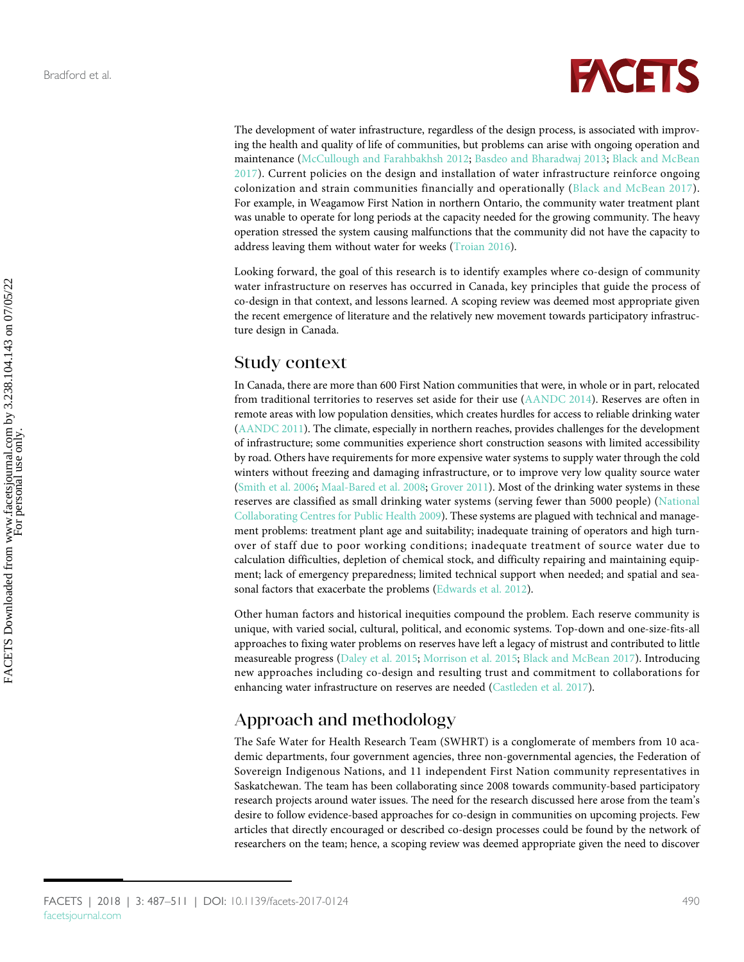

The development of water infrastructure, regardless of the design process, is associated with improving the health and quality of life of communities, but problems can arise with ongoing operation and maintenance [\(McCullough and Farahbakhsh 2012](#page-21-10); [Basdeo and Bharadwaj 2013](#page-18-8); [Black and McBean](#page-18-3) [2017](#page-18-3)). Current policies on the design and installation of water infrastructure reinforce ongoing colonization and strain communities financially and operationally [\(Black and McBean 2017](#page-18-3)). For example, in Weagamow First Nation in northern Ontario, the community water treatment plant was unable to operate for long periods at the capacity needed for the growing community. The heavy operation stressed the system causing malfunctions that the community did not have the capacity to address leaving them without water for weeks [\(Troian 2016](#page-23-8)).

Looking forward, the goal of this research is to identify examples where co-design of community water infrastructure on reserves has occurred in Canada, key principles that guide the process of co-design in that context, and lessons learned. A scoping review was deemed most appropriate given the recent emergence of literature and the relatively new movement towards participatory infrastructure design in Canada.

### Study context

In Canada, there are more than 600 First Nation communities that were, in whole or in part, relocated from traditional territories to reserves set aside for their use ([AANDC 2014\)](#page-17-1). Reserves are often in remote areas with low population densities, which creates hurdles for access to reliable drinking water [\(AANDC 2011](#page-17-2)). The climate, especially in northern reaches, provides challenges for the development of infrastructure; some communities experience short construction seasons with limited accessibility by road. Others have requirements for more expensive water systems to supply water through the cold winters without freezing and damaging infrastructure, or to improve very low quality source water [\(Smith et al. 2006;](#page-23-9) [Maal-Bared et al. 2008](#page-20-3); [Grover 2011](#page-19-9)). Most of the drinking water systems in these reserves are classified as small drinking water systems (serving fewer than 5000 people) [\(National](#page-21-11) [Collaborating Centres for Public Health 2009](#page-21-11)). These systems are plagued with technical and management problems: treatment plant age and suitability; inadequate training of operators and high turnover of staff due to poor working conditions; inadequate treatment of source water due to calculation difficulties, depletion of chemical stock, and difficulty repairing and maintaining equipment; lack of emergency preparedness; limited technical support when needed; and spatial and seasonal factors that exacerbate the problems [\(Edwards et al. 2012\)](#page-19-10).

Other human factors and historical inequities compound the problem. Each reserve community is unique, with varied social, cultural, political, and economic systems. Top-down and one-size-fits-all approaches to fixing water problems on reserves have left a legacy of mistrust and contributed to little measureable progress [\(Daley et al. 2015;](#page-18-4) [Morrison et al. 2015;](#page-21-12) [Black and McBean 2017\)](#page-18-3). Introducing new approaches including co-design and resulting trust and commitment to collaborations for enhancing water infrastructure on reserves are needed ([Castleden et al. 2017](#page-18-9)).

## Approach and methodology

The Safe Water for Health Research Team (SWHRT) is a conglomerate of members from 10 academic departments, four government agencies, three non-governmental agencies, the Federation of Sovereign Indigenous Nations, and 11 independent First Nation community representatives in Saskatchewan. The team has been collaborating since 2008 towards community-based participatory research projects around water issues. The need for the research discussed here arose from the team's desire to follow evidence-based approaches for co-design in communities on upcoming projects. Few articles that directly encouraged or described co-design processes could be found by the network of researchers on the team; hence, a scoping review was deemed appropriate given the need to discover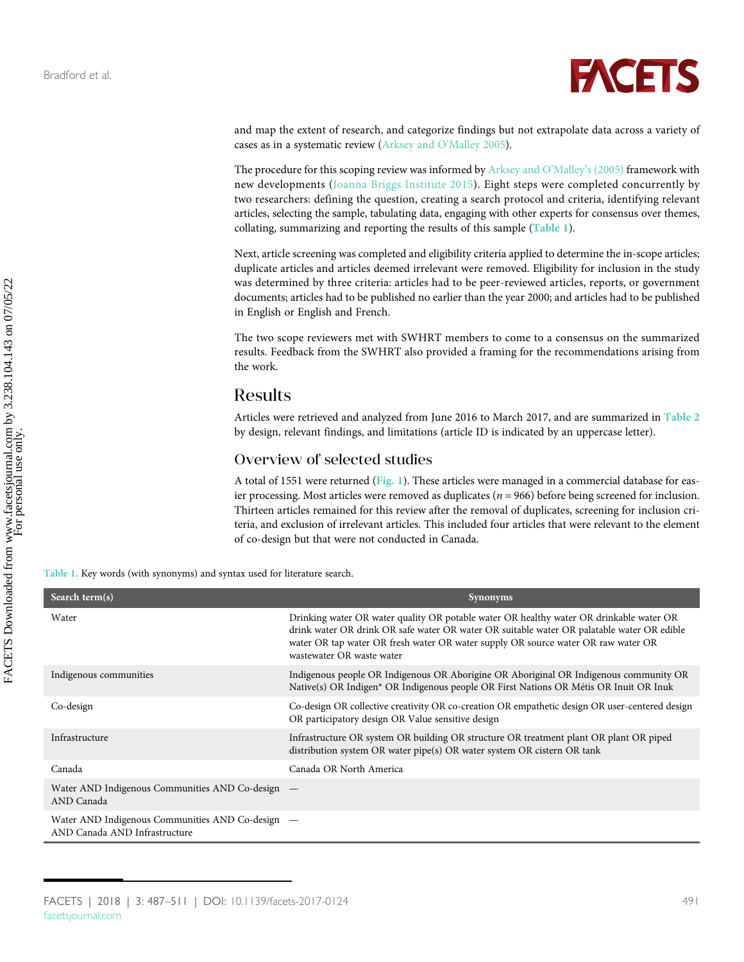

and map the extent of research, and categorize findings but not extrapolate data across a variety of cases as in a systematic review [\(Arksey and O](#page-18-10)'Malley 2005).

The procedure for this scoping review was informed by [Arksey and O](#page-18-10)'Malley's (2005) framework with new developments [\(Joanna Briggs Institute 2015\)](#page-20-4). Eight steps were completed concurrently by two researchers: defining the question, creating a search protocol and criteria, identifying relevant articles, selecting the sample, tabulating data, engaging with other experts for consensus over themes, collating, summarizing and reporting the results of this sample ([Table 1](#page-4-0)).

Next, article screening was completed and eligibility criteria applied to determine the in-scope articles; duplicate articles and articles deemed irrelevant were removed. Eligibility for inclusion in the study was determined by three criteria: articles had to be peer-reviewed articles, reports, or government documents; articles had to be published no earlier than the year 2000; and articles had to be published in English or English and French.

The two scope reviewers met with SWHRT members to come to a consensus on the summarized results. Feedback from the SWHRT also provided a framing for the recommendations arising from the work.

## Results

Articles were retrieved and analyzed from June 2016 to March 2017, and are summarized in [Table 2](#page-6-0) by design, relevant findings, and limitations (article ID is indicated by an uppercase letter).

#### Overview of selected studies

A total of 1551 were returned ([Fig. 1](#page-5-0)). These articles were managed in a commercial database for easier processing. Most articles were removed as duplicates ( $n = 966$ ) before being screened for inclusion. Thirteen articles remained for this review after the removal of duplicates, screening for inclusion criteria, and exclusion of irrelevant articles. This included four articles that were relevant to the element of co-design but that were not conducted in Canada.

<span id="page-4-0"></span>Table 1. Key words (with synonyms) and syntax used for literature search.

| Search term(s)                                                                    | <b>Synonyms</b>                                                                                                                                                                                                                                                                                         |
|-----------------------------------------------------------------------------------|---------------------------------------------------------------------------------------------------------------------------------------------------------------------------------------------------------------------------------------------------------------------------------------------------------|
| Water                                                                             | Drinking water OR water quality OR potable water OR healthy water OR drinkable water OR<br>drink water OR drink OR safe water OR water OR suitable water OR palatable water OR edible<br>water OR tap water OR fresh water OR water supply OR source water OR raw water OR<br>wastewater OR waste water |
| Indigenous communities                                                            | Indigenous people OR Indigenous OR Aborigine OR Aboriginal OR Indigenous community OR<br>Native(s) OR Indigen* OR Indigenous people OR First Nations OR Métis OR Inuit OR Inuk                                                                                                                          |
| Co-design                                                                         | Co-design OR collective creativity OR co-creation OR empathetic design OR user-centered design<br>OR participatory design OR Value sensitive design                                                                                                                                                     |
| Infrastructure                                                                    | Infrastructure OR system OR building OR structure OR treatment plant OR plant OR piped<br>distribution system OR water pipe(s) OR water system OR cistern OR tank                                                                                                                                       |
| Canada                                                                            | Canada OR North America                                                                                                                                                                                                                                                                                 |
| Water AND Indigenous Communities AND Co-design –<br>AND Canada                    |                                                                                                                                                                                                                                                                                                         |
| Water AND Indigenous Communities AND Co-design –<br>AND Canada AND Infrastructure |                                                                                                                                                                                                                                                                                                         |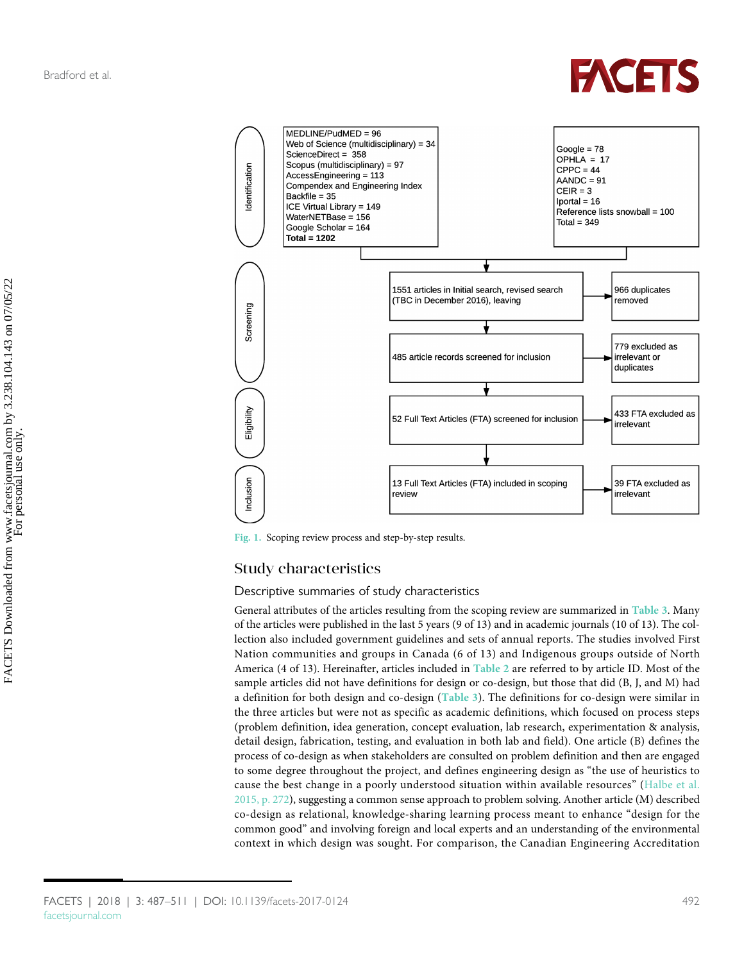

<span id="page-5-0"></span>

Fig. 1. Scoping review process and step-by-step results.

#### Study characteristics

#### Descriptive summaries of study characteristics

General attributes of the articles resulting from the scoping review are summarized in [Table 3](#page-10-0). Many of the articles were published in the last 5 years (9 of 13) and in academic journals (10 of 13). The collection also included government guidelines and sets of annual reports. The studies involved First Nation communities and groups in Canada (6 of 13) and Indigenous groups outside of North America (4 of 13). Hereinafter, articles included in [Table 2](#page-6-0) are referred to by article ID. Most of the sample articles did not have definitions for design or co-design, but those that did (B, J, and M) had a definition for both design and co-design ([Table 3](#page-10-0)). The definitions for co-design were similar in the three articles but were not as specific as academic definitions, which focused on process steps (problem definition, idea generation, concept evaluation, lab research, experimentation & analysis, detail design, fabrication, testing, and evaluation in both lab and field). One article (B) defines the process of co-design as when stakeholders are consulted on problem definition and then are engaged to some degree throughout the project, and defines engineering design as "the use of heuristics to cause the best change in a poorly understood situation within available resources" [\(Halbe et al.](#page-20-5) [2015, p. 272](#page-20-5)), suggesting a common sense approach to problem solving. Another article (M) described co-design as relational, knowledge-sharing learning process meant to enhance "design for the common good" and involving foreign and local experts and an understanding of the environmental context in which design was sought. For comparison, the Canadian Engineering Accreditation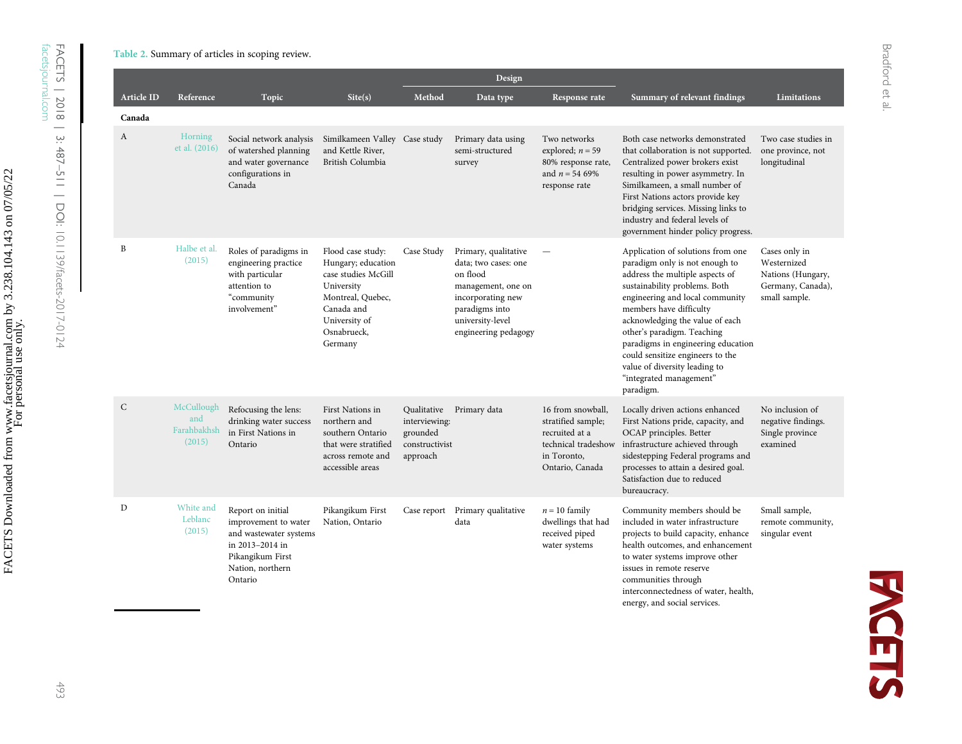Bradford et al.

Bradford et al.

|                   |                                            |                                                                                                                                           |                                                                                                                                                            |                                                                        | Design                                                                                                                                                            |                                                                                                                    |                                                                                                                                                                                                                                                                                                                                                                                                                           |                                                                                         |
|-------------------|--------------------------------------------|-------------------------------------------------------------------------------------------------------------------------------------------|------------------------------------------------------------------------------------------------------------------------------------------------------------|------------------------------------------------------------------------|-------------------------------------------------------------------------------------------------------------------------------------------------------------------|--------------------------------------------------------------------------------------------------------------------|---------------------------------------------------------------------------------------------------------------------------------------------------------------------------------------------------------------------------------------------------------------------------------------------------------------------------------------------------------------------------------------------------------------------------|-----------------------------------------------------------------------------------------|
| <b>Article ID</b> | Reference                                  | Topic                                                                                                                                     | Site(s)                                                                                                                                                    | Method                                                                 | Data type                                                                                                                                                         | Response rate                                                                                                      | Summary of relevant findings                                                                                                                                                                                                                                                                                                                                                                                              | <b>Limitations</b>                                                                      |
| Canada            |                                            |                                                                                                                                           |                                                                                                                                                            |                                                                        |                                                                                                                                                                   |                                                                                                                    |                                                                                                                                                                                                                                                                                                                                                                                                                           |                                                                                         |
| A                 | Horning<br>et al. (2016)                   | Social network analysis<br>of watershed planning<br>and water governance<br>configurations in<br>Canada                                   | Similkameen Valley Case study<br>and Kettle River,<br>British Columbia                                                                                     |                                                                        | Primary data using<br>semi-structured<br>survey                                                                                                                   | Two networks<br>explored; $n = 59$<br>80% response rate,<br>and $n = 54,69\%$<br>response rate                     | Both case networks demonstrated<br>that collaboration is not supported.<br>Centralized power brokers exist<br>resulting in power asymmetry. In<br>Similkameen, a small number of<br>First Nations actors provide key<br>bridging services. Missing links to<br>industry and federal levels of<br>government hinder policy progress.                                                                                       | Two case studies in<br>one province, not<br>longitudinal                                |
| B                 | Halbe et al.<br>(2015)                     | Roles of paradigms in<br>engineering practice<br>with particular<br>attention to<br>"community<br>involvement"                            | Flood case study:<br>Hungary; education<br>case studies McGill<br>University<br>Montreal, Quebec,<br>Canada and<br>University of<br>Osnabrueck,<br>Germany | Case Study                                                             | Primary, qualitative<br>data; two cases: one<br>on flood<br>management, one on<br>incorporating new<br>paradigms into<br>university-level<br>engineering pedagogy |                                                                                                                    | Application of solutions from one<br>paradigm only is not enough to<br>address the multiple aspects of<br>sustainability problems. Both<br>engineering and local community<br>members have difficulty<br>acknowledging the value of each<br>other's paradigm. Teaching<br>paradigms in engineering education<br>could sensitize engineers to the<br>value of diversity leading to<br>"integrated management"<br>paradigm. | Cases only in<br>Westernized<br>Nations (Hungary,<br>Germany, Canada),<br>small sample. |
| $\mathsf{C}$      | McCullough<br>and<br>Farahbakhsh<br>(2015) | Refocusing the lens:<br>drinking water success<br>in First Nations in<br>Ontario                                                          | First Nations in<br>northern and<br>southern Ontario<br>that were stratified<br>across remote and<br>accessible areas                                      | Qualitative<br>interviewing:<br>grounded<br>constructivist<br>approach | Primary data                                                                                                                                                      | 16 from snowball,<br>stratified sample;<br>recruited at a<br>technical tradeshow<br>in Toronto,<br>Ontario, Canada | Locally driven actions enhanced<br>First Nations pride, capacity, and<br>OCAP principles. Better<br>infrastructure achieved through<br>sidestepping Federal programs and<br>processes to attain a desired goal.<br>Satisfaction due to reduced<br>bureaucracy.                                                                                                                                                            | No inclusion of<br>negative findings.<br>Single province<br>examined                    |
| D                 | White and<br>Leblanc<br>(2015)             | Report on initial<br>improvement to water<br>and wastewater systems<br>in 2013-2014 in<br>Pikangikum First<br>Nation, northern<br>Ontario | Pikangikum First<br>Nation, Ontario                                                                                                                        | Case report                                                            | Primary qualitative<br>data                                                                                                                                       | $n = 10$ family<br>dwellings that had<br>received piped<br>water systems                                           | Community members should be<br>included in water infrastructure<br>projects to build capacity, enhance<br>health outcomes, and enhancement<br>to water systems improve other<br>issues in remote reserve<br>communities through<br>interconnectedness of water, health,<br>energy, and social services.                                                                                                                   | Small sample,<br>remote community,<br>singular event                                    |

FACETS | 2018 | 3: 487

[facetsjournal.com](http://www.facetsjournal.com)

<span id="page-6-0"></span>–511 | DOI:

[10.1139/facets-2017-0124](http://dx.doi.org/10.1139/facets-2017-0124)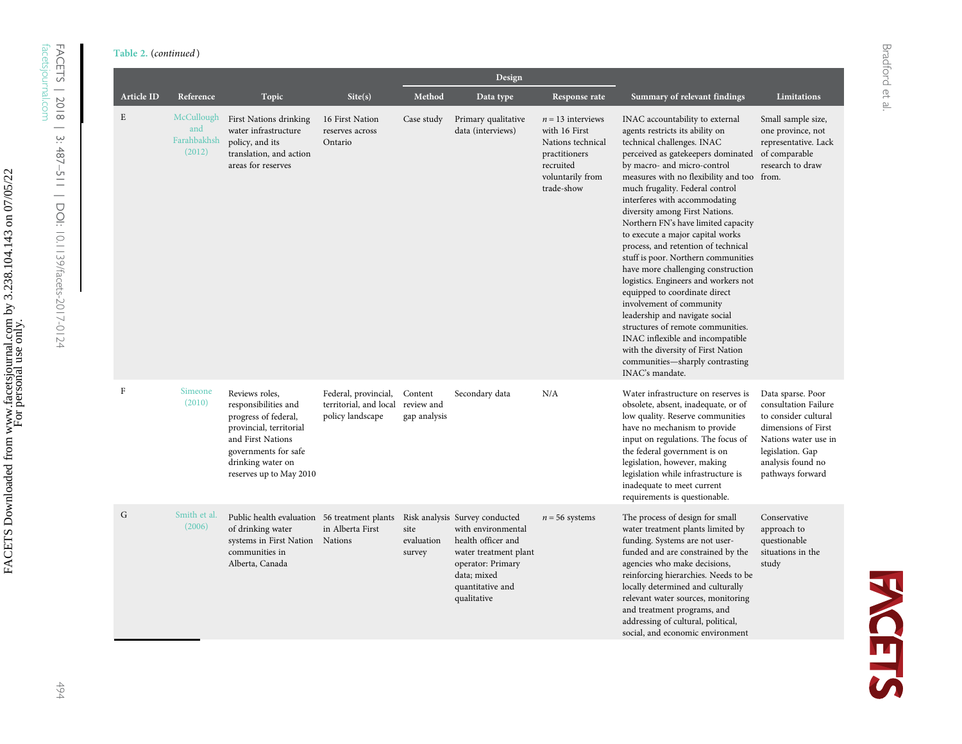Table 2. (continued )

|                   |                                            |                                                                                                                                                                                        |                                                                    |                                       | Design                                                                                                                                                                     |                                                                                                                           |                                                                                                                                                                                                                                                                                                                                                                                                                                                                                                                                                                                                                                                                                                                                                                                                                                      |                                                                                                                                                                               |
|-------------------|--------------------------------------------|----------------------------------------------------------------------------------------------------------------------------------------------------------------------------------------|--------------------------------------------------------------------|---------------------------------------|----------------------------------------------------------------------------------------------------------------------------------------------------------------------------|---------------------------------------------------------------------------------------------------------------------------|--------------------------------------------------------------------------------------------------------------------------------------------------------------------------------------------------------------------------------------------------------------------------------------------------------------------------------------------------------------------------------------------------------------------------------------------------------------------------------------------------------------------------------------------------------------------------------------------------------------------------------------------------------------------------------------------------------------------------------------------------------------------------------------------------------------------------------------|-------------------------------------------------------------------------------------------------------------------------------------------------------------------------------|
| <b>Article ID</b> | Reference                                  | Topic                                                                                                                                                                                  | Site(s)                                                            | Method                                | Data type                                                                                                                                                                  | Response rate                                                                                                             | Summary of relevant findings                                                                                                                                                                                                                                                                                                                                                                                                                                                                                                                                                                                                                                                                                                                                                                                                         | Limitations                                                                                                                                                                   |
| E                 | McCullough<br>and<br>Farahbakhsh<br>(2012) | First Nations drinking<br>water infrastructure<br>policy, and its<br>translation, and action<br>areas for reserves                                                                     | 16 First Nation<br>reserves across<br>Ontario                      | Case study                            | Primary qualitative<br>data (interviews)                                                                                                                                   | $n = 13$ interviews<br>with 16 First<br>Nations technical<br>practitioners<br>recruited<br>voluntarily from<br>trade-show | INAC accountability to external<br>agents restricts its ability on<br>technical challenges. INAC<br>perceived as gatekeepers dominated<br>by macro- and micro-control<br>measures with no flexibility and too from.<br>much frugality. Federal control<br>interferes with accommodating<br>diversity among First Nations.<br>Northern FN's have limited capacity<br>to execute a major capital works<br>process, and retention of technical<br>stuff is poor. Northern communities<br>have more challenging construction<br>logistics. Engineers and workers not<br>equipped to coordinate direct<br>involvement of community<br>leadership and navigate social<br>structures of remote communities.<br>INAC inflexible and incompatible<br>with the diversity of First Nation<br>communities-sharply contrasting<br>INAC's mandate. | Small sample size,<br>one province, not<br>representative. Lack<br>of comparable<br>research to draw                                                                          |
| $\mathbf{F}$      | Simeone<br>(2010)                          | Reviews roles,<br>responsibilities and<br>progress of federal,<br>provincial, territorial<br>and First Nations<br>governments for safe<br>drinking water on<br>reserves up to May 2010 | Federal, provincial,<br>territorial, and local<br>policy landscape | Content<br>review and<br>gap analysis | Secondary data                                                                                                                                                             | N/A                                                                                                                       | Water infrastructure on reserves is<br>obsolete, absent, inadequate, or of<br>low quality. Reserve communities<br>have no mechanism to provide<br>input on regulations. The focus of<br>the federal government is on<br>legislation, however, making<br>legislation while infrastructure is<br>inadequate to meet current<br>requirements is questionable.                                                                                                                                                                                                                                                                                                                                                                                                                                                                           | Data sparse. Poor<br>consultation Failure<br>to consider cultural<br>dimensions of First<br>Nations water use in<br>legislation. Gap<br>analysis found no<br>pathways forward |
| G                 | Smith et al.<br>(2006)                     | Public health evaluation 56 treatment plants<br>of drinking water<br>systems in First Nation<br>communities in<br>Alberta, Canada                                                      | in Alberta First<br>Nations                                        | site<br>evaluation<br>survey          | Risk analysis Survey conducted<br>with environmental<br>health officer and<br>water treatment plant<br>operator: Primary<br>data; mixed<br>quantitative and<br>qualitative | $n = 56$ systems                                                                                                          | The process of design for small<br>water treatment plants limited by<br>funding. Systems are not user-<br>funded and are constrained by the<br>agencies who make decisions,<br>reinforcing hierarchies. Needs to be<br>locally determined and culturally<br>relevant water sources, monitoring<br>and treatment programs, and<br>addressing of cultural, political,<br>social, and economic environment                                                                                                                                                                                                                                                                                                                                                                                                                              | Conservative<br>approach to<br>questionable<br>situations in the<br>study                                                                                                     |

**FACETS** 

FACETS | 2018 | 3: 487

[facetsjournal.com](http://www.facetsjournal.com)

–511 | DOI:

[10.1139/facets-2017-0124](http://dx.doi.org/10.1139/facets-2017-0124)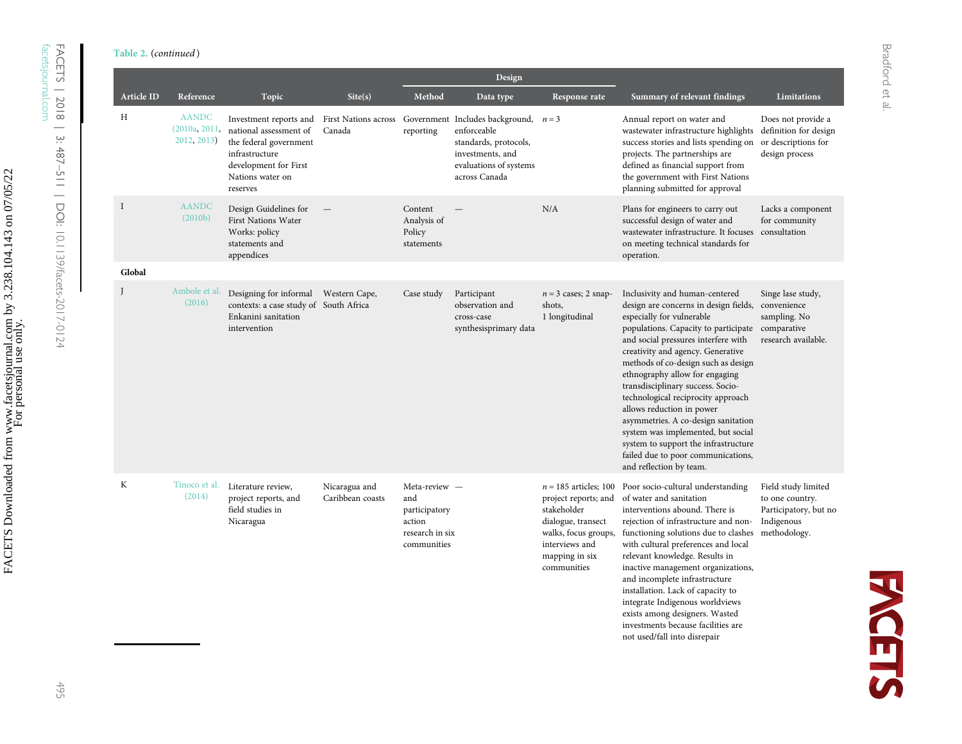FACETS | 2018 | 3: 487

[facetsjournal.com](http://www.facetsjournal.com)

–511 | DOI:

[10.1139/facets-2017-0124](http://dx.doi.org/10.1139/facets-2017-0124)

|             |                                              |                                                                                                                                                                            |                                   |                                                                                   | Design                                                                                                                                         |                                                                                                                                                                 |                                                                                                                                                                                                                                                                                                                                                                                                                                                                                                                                                                                                 |                                                                                               |
|-------------|----------------------------------------------|----------------------------------------------------------------------------------------------------------------------------------------------------------------------------|-----------------------------------|-----------------------------------------------------------------------------------|------------------------------------------------------------------------------------------------------------------------------------------------|-----------------------------------------------------------------------------------------------------------------------------------------------------------------|-------------------------------------------------------------------------------------------------------------------------------------------------------------------------------------------------------------------------------------------------------------------------------------------------------------------------------------------------------------------------------------------------------------------------------------------------------------------------------------------------------------------------------------------------------------------------------------------------|-----------------------------------------------------------------------------------------------|
| Article ID  | Reference                                    | Topic                                                                                                                                                                      | Site(s)                           | Method                                                                            | Data type                                                                                                                                      | Response rate                                                                                                                                                   | Summary of relevant findings                                                                                                                                                                                                                                                                                                                                                                                                                                                                                                                                                                    | <b>Limitations</b>                                                                            |
| Н           | <b>AANDC</b><br>(2010a, 2011,<br>2012, 2013) | Investment reports and First Nations across<br>national assessment of<br>the federal government<br>infrastructure<br>development for First<br>Nations water on<br>reserves | Canada                            | reporting                                                                         | Government Includes background, $n = 3$<br>enforceable<br>standards, protocols,<br>investments, and<br>evaluations of systems<br>across Canada |                                                                                                                                                                 | Annual report on water and<br>wastewater infrastructure highlights<br>success stories and lists spending on<br>projects. The partnerships are<br>defined as financial support from<br>the government with First Nations<br>planning submitted for approval                                                                                                                                                                                                                                                                                                                                      | Does not provide a<br>definition for design<br>or descriptions for<br>design process          |
| $\mathbf I$ | <b>AANDC</b><br>(2010 <sub>b</sub> )         | Design Guidelines for<br>First Nations Water<br>Works: policy<br>statements and<br>appendices                                                                              |                                   | Content<br>Analysis of<br>Policy<br>statements                                    |                                                                                                                                                | N/A                                                                                                                                                             | Plans for engineers to carry out<br>successful design of water and<br>wastewater infrastructure. It focuses consultation<br>on meeting technical standards for<br>operation.                                                                                                                                                                                                                                                                                                                                                                                                                    | Lacks a component<br>for community                                                            |
| Global      |                                              |                                                                                                                                                                            |                                   |                                                                                   |                                                                                                                                                |                                                                                                                                                                 |                                                                                                                                                                                                                                                                                                                                                                                                                                                                                                                                                                                                 |                                                                                               |
|             | Ambole et al.<br>(2016)                      | Designing for informal Western Cape,<br>contexts: a case study of South Africa<br>Enkanini sanitation<br>intervention                                                      |                                   | Case study                                                                        | Participant<br>observation and<br>cross-case<br>synthesisprimary data                                                                          | $n = 3$ cases; 2 snap-<br>shots,<br>1 longitudinal                                                                                                              | Inclusivity and human-centered<br>design are concerns in design fields,<br>especially for vulnerable<br>populations. Capacity to participate<br>and social pressures interfere with<br>creativity and agency. Generative<br>methods of co-design such as design<br>ethnography allow for engaging<br>transdisciplinary success. Socio-<br>technological reciprocity approach<br>allows reduction in power<br>asymmetries. A co-design sanitation<br>system was implemented, but social<br>system to support the infrastructure<br>failed due to poor communications,<br>and reflection by team. | Singe lase study,<br>convenience<br>sampling. No<br>comparative<br>research available.        |
| K           | Tinoco et al.<br>(2014)                      | Literature review,<br>project reports, and<br>field studies in<br>Nicaragua                                                                                                | Nicaragua and<br>Caribbean coasts | Meta-review -<br>and<br>participatory<br>action<br>research in six<br>communities |                                                                                                                                                | $n = 185$ articles; 100<br>project reports; and<br>stakeholder<br>dialogue, transect<br>walks, focus groups,<br>interviews and<br>mapping in six<br>communities | Poor socio-cultural understanding<br>of water and sanitation<br>interventions abound. There is<br>rejection of infrastructure and non-<br>functioning solutions due to clashes<br>with cultural preferences and local<br>relevant knowledge. Results in<br>inactive management organizations,<br>and incomplete infrastructure<br>installation. Lack of capacity to<br>integrate Indigenous worldviews<br>exists among designers. Wasted<br>investments because facilities are                                                                                                                  | Field study limited<br>to one country.<br>Participatory, but no<br>Indigenous<br>methodology. |

not used/fall into disrepair

**FACETS**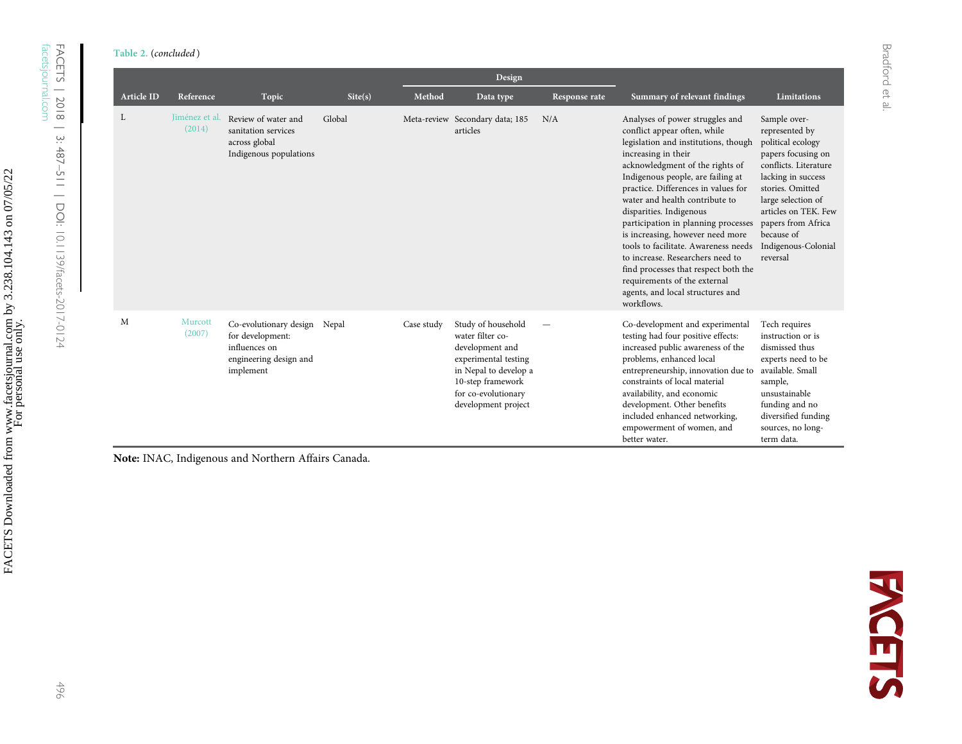| ヘロっ<br>$\frac{1}{2}$<br>$\frac{1}{2}$<br>$3:487 - 51$ |
|-------------------------------------------------------|
| リクニュー<br>, U. I I 37/1acets-ZUI / -UI 24              |

|                   |                          |                                                                                                    |         |            | Design                                                                                                                                                                        |               |                                                                                                                                                                                                                                                                                                                                                                                                                                                                                                                                                                                             |                                                                                                                                                                                                                                                                   |
|-------------------|--------------------------|----------------------------------------------------------------------------------------------------|---------|------------|-------------------------------------------------------------------------------------------------------------------------------------------------------------------------------|---------------|---------------------------------------------------------------------------------------------------------------------------------------------------------------------------------------------------------------------------------------------------------------------------------------------------------------------------------------------------------------------------------------------------------------------------------------------------------------------------------------------------------------------------------------------------------------------------------------------|-------------------------------------------------------------------------------------------------------------------------------------------------------------------------------------------------------------------------------------------------------------------|
| <b>Article ID</b> | Reference                | Topic                                                                                              | Site(s) | Method     | Data type                                                                                                                                                                     | Response rate | Summary of relevant findings                                                                                                                                                                                                                                                                                                                                                                                                                                                                                                                                                                | Limitations                                                                                                                                                                                                                                                       |
| L                 | Jiménez et al.<br>(2014) | Review of water and<br>sanitation services<br>across global<br>Indigenous populations              | Global  |            | Meta-review Secondary data; 185<br>articles                                                                                                                                   | N/A           | Analyses of power struggles and<br>conflict appear often, while<br>legislation and institutions, though<br>increasing in their<br>acknowledgment of the rights of<br>Indigenous people, are failing at<br>practice. Differences in values for<br>water and health contribute to<br>disparities. Indigenous<br>participation in planning processes<br>is increasing, however need more<br>tools to facilitate. Awareness needs<br>to increase. Researchers need to<br>find processes that respect both the<br>requirements of the external<br>agents, and local structures and<br>workflows. | Sample over-<br>represented by<br>political ecology<br>papers focusing on<br>conflicts. Literature<br>lacking in success<br>stories. Omitted<br>large selection of<br>articles on TEK. Few<br>papers from Africa<br>because of<br>Indigenous-Colonial<br>reversal |
| M                 | Murcott<br>(2007)        | Co-evolutionary design<br>for development:<br>influences on<br>engineering design and<br>implement | Nepal   | Case study | Study of household<br>water filter co-<br>development and<br>experimental testing<br>in Nepal to develop a<br>10-step framework<br>for co-evolutionary<br>development project |               | Co-development and experimental<br>testing had four positive effects:<br>increased public awareness of the<br>problems, enhanced local<br>entrepreneurship, innovation due to<br>constraints of local material<br>availability, and economic<br>development. Other benefits<br>included enhanced networking,<br>empowerment of women, and<br>better water.                                                                                                                                                                                                                                  | Tech requires<br>instruction or is<br>dismissed thus<br>experts need to be<br>available. Small<br>sample,<br>unsustainable<br>funding and no<br>diversified funding<br>sources, no long-<br>term data.                                                            |

Note: INAC, Indigenous and Northern Affairs Canada.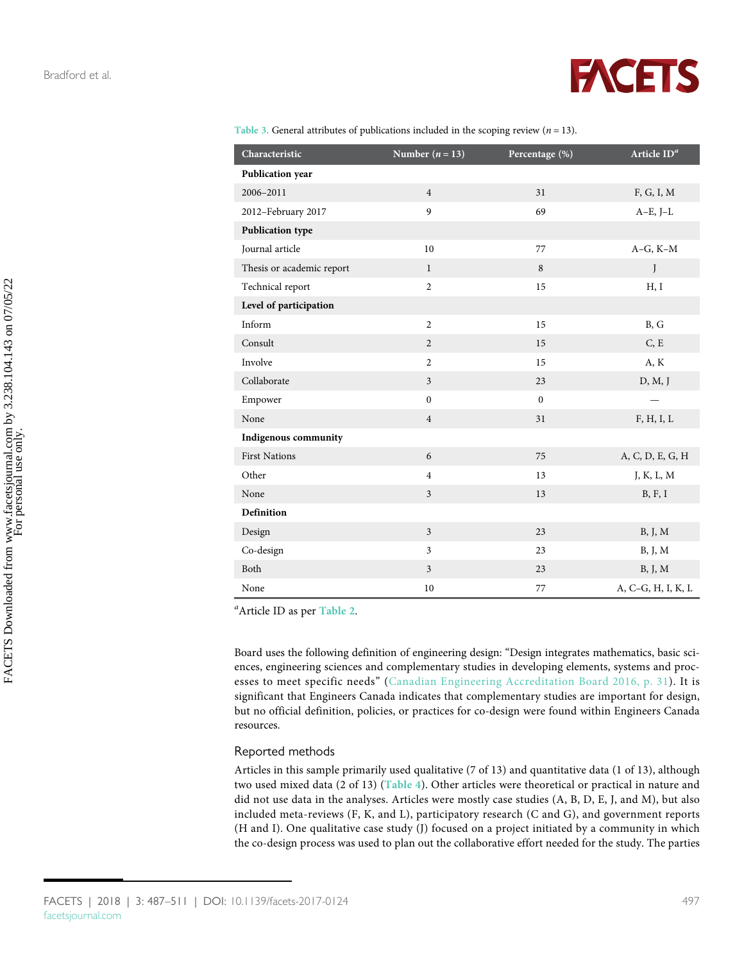FACETS Downloaded from www.facetsjournal.com by 3.238.104.143 on 07/05/22 For personal use only.

FACETS Downloaded from www.facetsjournal.com by 3.238.104.143 on 07/05/22<br>For personal use only.



<span id="page-10-0"></span>

|  |  | Table 3. General attributes of publications included in the scoping review ( $n = 13$ ). |  |  |  |  |
|--|--|------------------------------------------------------------------------------------------|--|--|--|--|
|  |  |                                                                                          |  |  |  |  |

| Characteristic            | Number $(n = 13)$       | Percentage (%) | Article $ID^a$           |
|---------------------------|-------------------------|----------------|--------------------------|
| Publication year          |                         |                |                          |
| 2006-2011                 | $\overline{4}$          | 31             | F, G, I, M               |
| 2012-February 2017        | 9                       | 69             | $A-E$ , J $-L$           |
| <b>Publication type</b>   |                         |                |                          |
| Journal article           | 10                      | 77             | $A-G, K-M$               |
| Thesis or academic report | $\mathbf{1}$            | 8              | J                        |
| Technical report          | $\overline{2}$          | 15             | H, I                     |
| Level of participation    |                         |                |                          |
| Inform                    | $\overline{2}$          | 15             | B, G                     |
| Consult                   | $\overline{2}$          | 15             | C, E                     |
| Involve                   | $\overline{2}$          | 15             | A, K                     |
| Collaborate               | $\overline{\mathbf{3}}$ | 23             | D, M, J                  |
| Empower                   | $\mathbf{0}$            | $\mathbf{0}$   | $\overline{\phantom{0}}$ |
| None                      | $\overline{4}$          | 31             | F, H, I, L               |
| Indigenous community      |                         |                |                          |
| <b>First Nations</b>      | 6                       | 75             | A, C, D, E, G, H         |
| Other                     | $\overline{4}$          | 13             | J, K, L, M               |
| None                      | $\overline{\mathbf{3}}$ | 13             | B, F, I                  |
| <b>Definition</b>         |                         |                |                          |
| Design                    | $\overline{\mathbf{3}}$ | 23             | B, J, M                  |
| Co-design                 | $\mathfrak{Z}$          | 23             | B, J, M                  |
| Both                      | $\mathfrak{Z}$          | 23             | B, J, M                  |
| None                      | 10                      | 77             | A, C-G, H, I, K, L       |

<sup>a</sup> Article ID as per [Table 2](#page-6-0).

Board uses the following definition of engineering design: "Design integrates mathematics, basic sciences, engineering sciences and complementary studies in developing elements, systems and processes to meet specific needs" ([Canadian Engineering Accreditation Board 2016, p. 31](#page-18-11)). It is significant that Engineers Canada indicates that complementary studies are important for design, but no official definition, policies, or practices for co-design were found within Engineers Canada resources.

#### Reported methods

Articles in this sample primarily used qualitative (7 of 13) and quantitative data (1 of 13), although two used mixed data (2 of 13) ([Table 4](#page-11-0)). Other articles were theoretical or practical in nature and did not use data in the analyses. Articles were mostly case studies (A, B, D, E, J, and M), but also included meta-reviews (F, K, and L), participatory research (C and G), and government reports (H and I). One qualitative case study (J) focused on a project initiated by a community in which the co-design process was used to plan out the collaborative effort needed for the study. The parties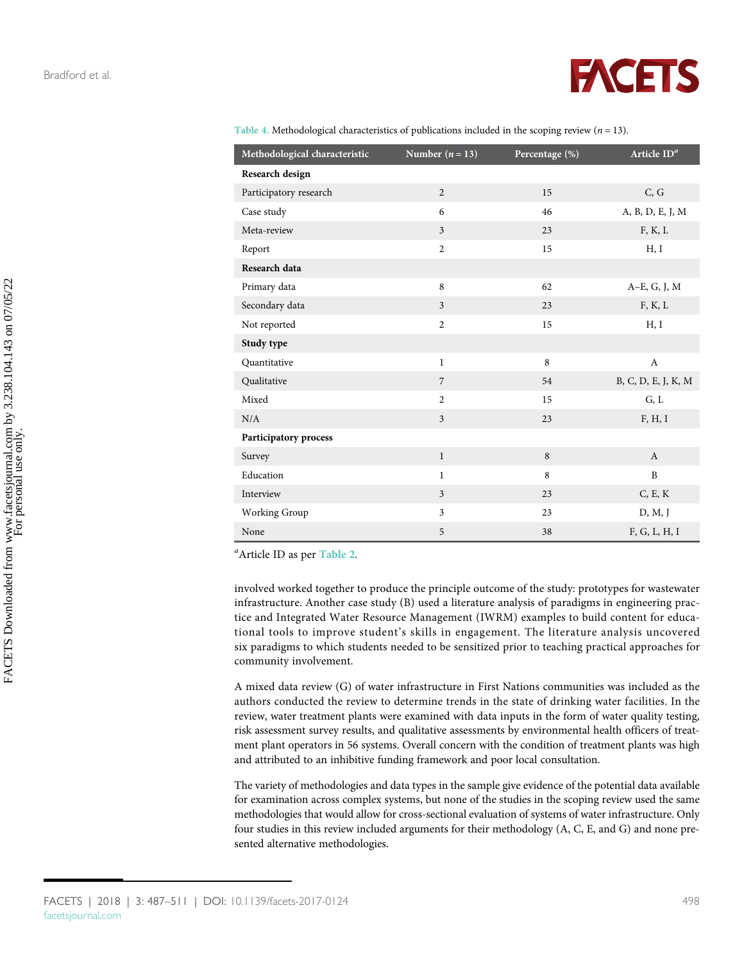

<span id="page-11-0"></span>

| Table 4. Methodological characteristics of publications included in the scoping review ( $n = 13$ ). |  |  |  |
|------------------------------------------------------------------------------------------------------|--|--|--|
|                                                                                                      |  |  |  |
|                                                                                                      |  |  |  |

| Methodological characteristic | Number $(n = 13)$       | Percentage (%) | Article $\mathrm{ID}^a$ |
|-------------------------------|-------------------------|----------------|-------------------------|
| Research design               |                         |                |                         |
| Participatory research        | $\overline{2}$          | 15             | C, G                    |
| Case study                    | 6                       | 46             | A, B, D, E, J, M        |
| Meta-review                   | $\overline{3}$          | 23             | F, K, L                 |
| Report                        | $\overline{2}$          | 15             | H, I                    |
| Research data                 |                         |                |                         |
| Primary data                  | 8                       | 62             | A-E, G, J, M            |
| Secondary data                | $\overline{3}$          | 23             | F, K, L                 |
| Not reported                  | $\overline{2}$          | 15             | H, I                    |
| Study type                    |                         |                |                         |
| Quantitative                  | $\mathbf{1}$            | 8              | A                       |
| Qualitative                   | $\overline{7}$          | 54             | B, C, D, E, J, K, M     |
| Mixed                         | $\overline{2}$          | 15             | G, L                    |
| N/A                           | $\overline{\mathbf{3}}$ | 23             | F, H, I                 |
| <b>Participatory process</b>  |                         |                |                         |
| Survey                        | $\mathbf{1}$            | 8              | $\mathbf{A}$            |
| Education                     | $\mathbf{1}$            | 8              | $\mathbf{B}$            |
| Interview                     | $\mathfrak{Z}$          | 23             | C, E, K                 |
| Working Group                 | $\overline{3}$          | 23             | D, M, J                 |
| None                          | 5                       | 38             | F, G, L, H, I           |

<sup>a</sup>Article ID as per [Table 2](#page-6-0).

involved worked together to produce the principle outcome of the study: prototypes for wastewater infrastructure. Another case study (B) used a literature analysis of paradigms in engineering practice and Integrated Water Resource Management (IWRM) examples to build content for educational tools to improve student's skills in engagement. The literature analysis uncovered six paradigms to which students needed to be sensitized prior to teaching practical approaches for community involvement.

A mixed data review (G) of water infrastructure in First Nations communities was included as the authors conducted the review to determine trends in the state of drinking water facilities. In the review, water treatment plants were examined with data inputs in the form of water quality testing, risk assessment survey results, and qualitative assessments by environmental health officers of treatment plant operators in 56 systems. Overall concern with the condition of treatment plants was high and attributed to an inhibitive funding framework and poor local consultation.

The variety of methodologies and data types in the sample give evidence of the potential data available for examination across complex systems, but none of the studies in the scoping review used the same methodologies that would allow for cross-sectional evaluation of systems of water infrastructure. Only four studies in this review included arguments for their methodology (A, C, E, and G) and none presented alternative methodologies.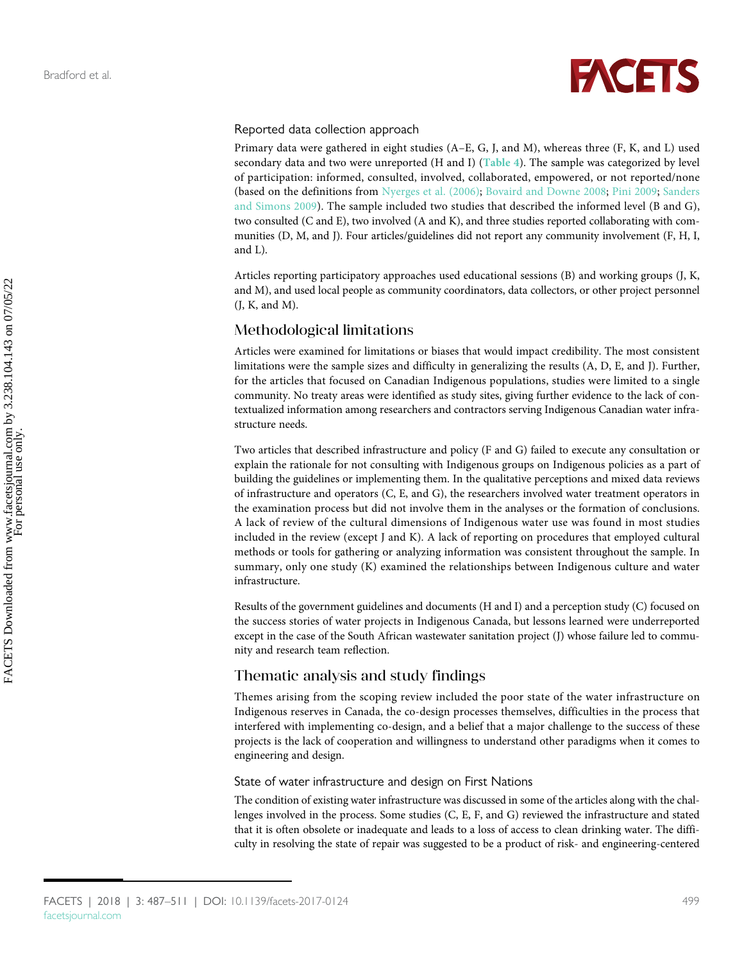

#### Reported data collection approach

Primary data were gathered in eight studies (A–E, G, J, and M), whereas three (F, K, and L) used secondary data and two were unreported (H and I) ([Table 4](#page-11-0)). The sample was categorized by level of participation: informed, consulted, involved, collaborated, empowered, or not reported/none (based on the definitions from [Nyerges et al. \(2006\);](#page-21-4) [Bovaird and Downe 2008](#page-18-6); [Pini 2009;](#page-22-6) [Sanders](#page-22-7) [and Simons 2009\)](#page-22-7). The sample included two studies that described the informed level (B and G), two consulted (C and E), two involved (A and K), and three studies reported collaborating with communities (D, M, and J). Four articles/guidelines did not report any community involvement (F, H, I, and L).

Articles reporting participatory approaches used educational sessions (B) and working groups (J, K, and M), and used local people as community coordinators, data collectors, or other project personnel (J, K, and M).

#### Methodological limitations

Articles were examined for limitations or biases that would impact credibility. The most consistent limitations were the sample sizes and difficulty in generalizing the results (A, D, E, and J). Further, for the articles that focused on Canadian Indigenous populations, studies were limited to a single community. No treaty areas were identified as study sites, giving further evidence to the lack of contextualized information among researchers and contractors serving Indigenous Canadian water infrastructure needs.

Two articles that described infrastructure and policy (F and G) failed to execute any consultation or explain the rationale for not consulting with Indigenous groups on Indigenous policies as a part of building the guidelines or implementing them. In the qualitative perceptions and mixed data reviews of infrastructure and operators (C, E, and G), the researchers involved water treatment operators in the examination process but did not involve them in the analyses or the formation of conclusions. A lack of review of the cultural dimensions of Indigenous water use was found in most studies included in the review (except J and K). A lack of reporting on procedures that employed cultural methods or tools for gathering or analyzing information was consistent throughout the sample. In summary, only one study (K) examined the relationships between Indigenous culture and water infrastructure.

Results of the government guidelines and documents (H and I) and a perception study (C) focused on the success stories of water projects in Indigenous Canada, but lessons learned were underreported except in the case of the South African wastewater sanitation project (J) whose failure led to community and research team reflection.

#### Thematic analysis and study findings

Themes arising from the scoping review included the poor state of the water infrastructure on Indigenous reserves in Canada, the co-design processes themselves, difficulties in the process that interfered with implementing co-design, and a belief that a major challenge to the success of these projects is the lack of cooperation and willingness to understand other paradigms when it comes to engineering and design.

#### State of water infrastructure and design on First Nations

The condition of existing water infrastructure was discussed in some of the articles along with the challenges involved in the process. Some studies (C, E, F, and G) reviewed the infrastructure and stated that it is often obsolete or inadequate and leads to a loss of access to clean drinking water. The difficulty in resolving the state of repair was suggested to be a product of risk- and engineering-centered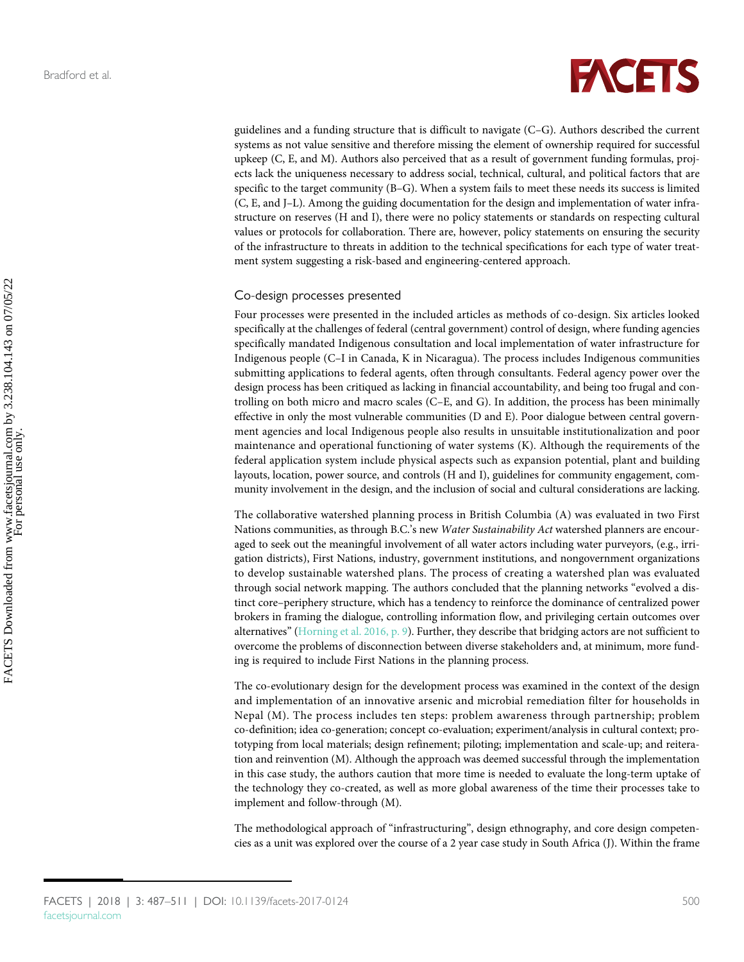# **FACETS**

guidelines and a funding structure that is difficult to navigate (C–G). Authors described the current systems as not value sensitive and therefore missing the element of ownership required for successful upkeep (C, E, and M). Authors also perceived that as a result of government funding formulas, projects lack the uniqueness necessary to address social, technical, cultural, and political factors that are specific to the target community (B–G). When a system fails to meet these needs its success is limited (C, E, and J–L). Among the guiding documentation for the design and implementation of water infrastructure on reserves (H and I), there were no policy statements or standards on respecting cultural values or protocols for collaboration. There are, however, policy statements on ensuring the security of the infrastructure to threats in addition to the technical specifications for each type of water treatment system suggesting a risk-based and engineering-centered approach.

#### Co-design processes presented

Four processes were presented in the included articles as methods of co-design. Six articles looked specifically at the challenges of federal (central government) control of design, where funding agencies specifically mandated Indigenous consultation and local implementation of water infrastructure for Indigenous people (C–I in Canada, K in Nicaragua). The process includes Indigenous communities submitting applications to federal agents, often through consultants. Federal agency power over the design process has been critiqued as lacking in financial accountability, and being too frugal and controlling on both micro and macro scales (C–E, and G). In addition, the process has been minimally effective in only the most vulnerable communities (D and E). Poor dialogue between central government agencies and local Indigenous people also results in unsuitable institutionalization and poor maintenance and operational functioning of water systems (K). Although the requirements of the federal application system include physical aspects such as expansion potential, plant and building layouts, location, power source, and controls (H and I), guidelines for community engagement, community involvement in the design, and the inclusion of social and cultural considerations are lacking.

The collaborative watershed planning process in British Columbia (A) was evaluated in two First Nations communities, as through B.C.'s new Water Sustainability Act watershed planners are encouraged to seek out the meaningful involvement of all water actors including water purveyors, (e.g., irrigation districts), First Nations, industry, government institutions, and nongovernment organizations to develop sustainable watershed plans. The process of creating a watershed plan was evaluated through social network mapping. The authors concluded that the planning networks "evolved a distinct core–periphery structure, which has a tendency to reinforce the dominance of centralized power brokers in framing the dialogue, controlling information flow, and privileging certain outcomes over alternatives" [\(Horning et al. 2016, p. 9\)](#page-20-9). Further, they describe that bridging actors are not sufficient to overcome the problems of disconnection between diverse stakeholders and, at minimum, more funding is required to include First Nations in the planning process.

The co-evolutionary design for the development process was examined in the context of the design and implementation of an innovative arsenic and microbial remediation filter for households in Nepal (M). The process includes ten steps: problem awareness through partnership; problem co-definition; idea co-generation; concept co-evaluation; experiment/analysis in cultural context; prototyping from local materials; design refinement; piloting; implementation and scale-up; and reiteration and reinvention (M). Although the approach was deemed successful through the implementation in this case study, the authors caution that more time is needed to evaluate the long-term uptake of the technology they co-created, as well as more global awareness of the time their processes take to implement and follow-through (M).

The methodological approach of "infrastructuring", design ethnography, and core design competencies as a unit was explored over the course of a 2 year case study in South Africa (J). Within the frame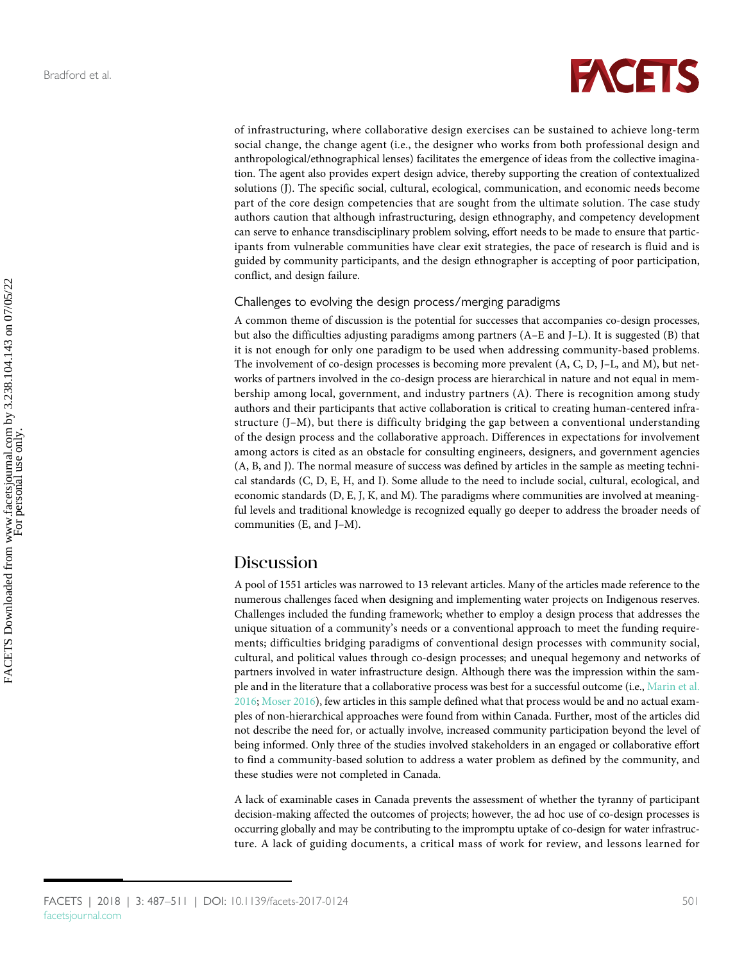

of infrastructuring, where collaborative design exercises can be sustained to achieve long-term social change, the change agent (i.e., the designer who works from both professional design and anthropological/ethnographical lenses) facilitates the emergence of ideas from the collective imagination. The agent also provides expert design advice, thereby supporting the creation of contextualized solutions (J). The specific social, cultural, ecological, communication, and economic needs become part of the core design competencies that are sought from the ultimate solution. The case study authors caution that although infrastructuring, design ethnography, and competency development can serve to enhance transdisciplinary problem solving, effort needs to be made to ensure that participants from vulnerable communities have clear exit strategies, the pace of research is fluid and is guided by community participants, and the design ethnographer is accepting of poor participation, conflict, and design failure.

#### Challenges to evolving the design process/merging paradigms

A common theme of discussion is the potential for successes that accompanies co-design processes, but also the difficulties adjusting paradigms among partners (A–E and J–L). It is suggested (B) that it is not enough for only one paradigm to be used when addressing community-based problems. The involvement of co-design processes is becoming more prevalent (A, C, D, J–L, and M), but networks of partners involved in the co-design process are hierarchical in nature and not equal in membership among local, government, and industry partners (A). There is recognition among study authors and their participants that active collaboration is critical to creating human-centered infrastructure (J–M), but there is difficulty bridging the gap between a conventional understanding of the design process and the collaborative approach. Differences in expectations for involvement among actors is cited as an obstacle for consulting engineers, designers, and government agencies (A, B, and J). The normal measure of success was defined by articles in the sample as meeting technical standards (C, D, E, H, and I). Some allude to the need to include social, cultural, ecological, and economic standards (D, E, J, K, and M). The paradigms where communities are involved at meaningful levels and traditional knowledge is recognized equally go deeper to address the broader needs of communities (E, and J–M).

## Discussion

A pool of 1551 articles was narrowed to 13 relevant articles. Many of the articles made reference to the numerous challenges faced when designing and implementing water projects on Indigenous reserves. Challenges included the funding framework; whether to employ a design process that addresses the unique situation of a community's needs or a conventional approach to meet the funding requirements; difficulties bridging paradigms of conventional design processes with community social, cultural, and political values through co-design processes; and unequal hegemony and networks of partners involved in water infrastructure design. Although there was the impression within the sample and in the literature that a collaborative process was best for a successful outcome (i.e., [Marin et al.](#page-21-5) [2016](#page-21-5); [Moser 2016\)](#page-21-6), few articles in this sample defined what that process would be and no actual examples of non-hierarchical approaches were found from within Canada. Further, most of the articles did not describe the need for, or actually involve, increased community participation beyond the level of being informed. Only three of the studies involved stakeholders in an engaged or collaborative effort to find a community-based solution to address a water problem as defined by the community, and these studies were not completed in Canada.

A lack of examinable cases in Canada prevents the assessment of whether the tyranny of participant decision-making affected the outcomes of projects; however, the ad hoc use of co-design processes is occurring globally and may be contributing to the impromptu uptake of co-design for water infrastructure. A lack of guiding documents, a critical mass of work for review, and lessons learned for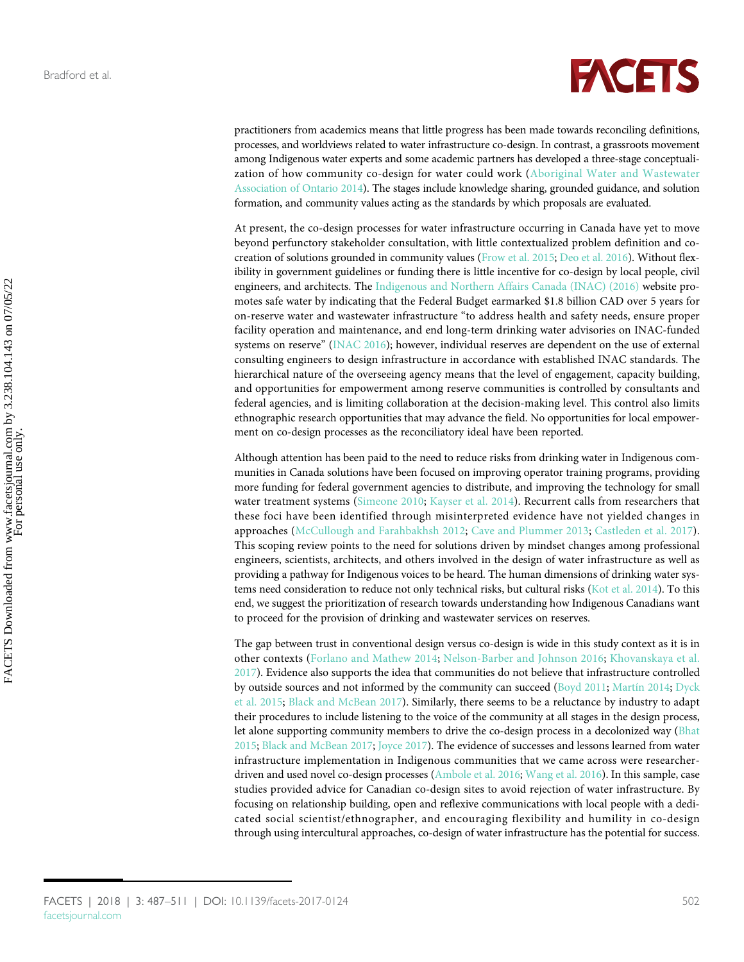

practitioners from academics means that little progress has been made towards reconciling definitions, processes, and worldviews related to water infrastructure co-design. In contrast, a grassroots movement among Indigenous water experts and some academic partners has developed a three-stage conceptualization of how community co-design for water could work ([Aboriginal Water and Wastewater](#page-17-9) [Association of Ontario 2014\)](#page-17-9). The stages include knowledge sharing, grounded guidance, and solution formation, and community values acting as the standards by which proposals are evaluated.

At present, the co-design processes for water infrastructure occurring in Canada have yet to move beyond perfunctory stakeholder consultation, with little contextualized problem definition and cocreation of solutions grounded in community values [\(Frow et al. 2015](#page-19-5); [Deo et al. 2016\)](#page-19-6). Without flexibility in government guidelines or funding there is little incentive for co-design by local people, civil engineers, and architects. The [Indigenous and Northern Affairs Canada \(INAC\) \(2016\)](#page-20-10) website promotes safe water by indicating that the Federal Budget earmarked \$1.8 billion CAD over 5 years for on-reserve water and wastewater infrastructure "to address health and safety needs, ensure proper facility operation and maintenance, and end long-term drinking water advisories on INAC-funded systems on reserve" ([INAC 2016\)](#page-20-10); however, individual reserves are dependent on the use of external consulting engineers to design infrastructure in accordance with established INAC standards. The hierarchical nature of the overseeing agency means that the level of engagement, capacity building, and opportunities for empowerment among reserve communities is controlled by consultants and federal agencies, and is limiting collaboration at the decision-making level. This control also limits ethnographic research opportunities that may advance the field. No opportunities for local empowerment on co-design processes as the reconciliatory ideal have been reported.

Although attention has been paid to the need to reduce risks from drinking water in Indigenous communities in Canada solutions have been focused on improving operator training programs, providing more funding for federal government agencies to distribute, and improving the technology for small water treatment systems [\(Simeone 2010;](#page-23-14) [Kayser et al. 2014](#page-20-11)). Recurrent calls from researchers that these foci have been identified through misinterpreted evidence have not yielded changes in approaches ([McCullough and Farahbakhsh 2012](#page-21-10); [Cave and Plummer 2013;](#page-18-12) [Castleden et al. 2017\)](#page-18-9). This scoping review points to the need for solutions driven by mindset changes among professional engineers, scientists, architects, and others involved in the design of water infrastructure as well as providing a pathway for Indigenous voices to be heard. The human dimensions of drinking water systems need consideration to reduce not only technical risks, but cultural risks ([Kot et al. 2014\)](#page-20-12). To this end, we suggest the prioritization of research towards understanding how Indigenous Canadians want to proceed for the provision of drinking and wastewater services on reserves.

The gap between trust in conventional design versus co-design is wide in this study context as it is in other contexts ([Forlano and Mathew 2014](#page-19-11); [Nelson-Barber and Johnson 2016](#page-21-0); [Khovanskaya et al.](#page-20-13) [2017](#page-20-13)). Evidence also supports the idea that communities do not believe that infrastructure controlled by outside sources and not informed by the community can succeed ([Boyd 2011](#page-18-13); [Martín 2014](#page-21-2); [Dyck](#page-19-12) [et al. 2015;](#page-19-12) [Black and McBean 2017](#page-18-3)). Similarly, there seems to be a reluctance by industry to adapt their procedures to include listening to the voice of the community at all stages in the design process, let alone supporting community members to drive the co-design process in a decolonized way [\(Bhat](#page-18-14) [2015](#page-18-14); [Black and McBean 2017;](#page-18-3) [Joyce 2017\)](#page-20-14). The evidence of successes and lessons learned from water infrastructure implementation in Indigenous communities that we came across were researcherdriven and used novel co-design processes ([Ambole et al. 2016](#page-17-10); [Wang et al. 2016](#page-23-15)). In this sample, case studies provided advice for Canadian co-design sites to avoid rejection of water infrastructure. By focusing on relationship building, open and reflexive communications with local people with a dedicated social scientist/ethnographer, and encouraging flexibility and humility in co-design through using intercultural approaches, co-design of water infrastructure has the potential for success.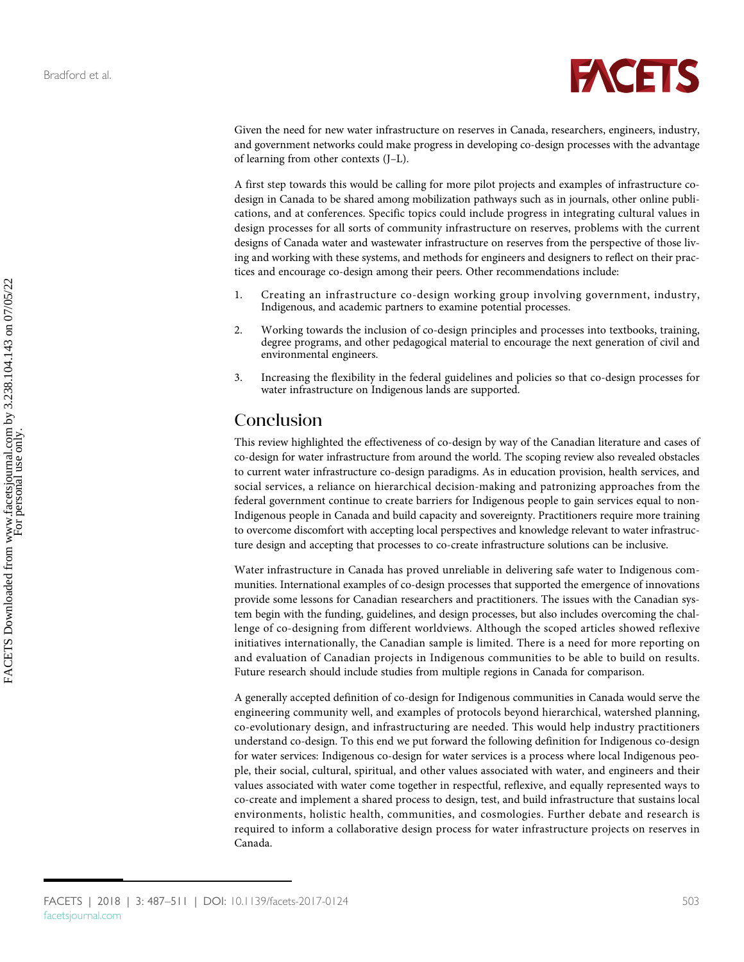

Given the need for new water infrastructure on reserves in Canada, researchers, engineers, industry, and government networks could make progress in developing co-design processes with the advantage of learning from other contexts (J–L).

A first step towards this would be calling for more pilot projects and examples of infrastructure codesign in Canada to be shared among mobilization pathways such as in journals, other online publications, and at conferences. Specific topics could include progress in integrating cultural values in design processes for all sorts of community infrastructure on reserves, problems with the current designs of Canada water and wastewater infrastructure on reserves from the perspective of those living and working with these systems, and methods for engineers and designers to reflect on their practices and encourage co-design among their peers. Other recommendations include:

- 1. Creating an infrastructure co-design working group involving government, industry, Indigenous, and academic partners to examine potential processes.
- 2. Working towards the inclusion of co-design principles and processes into textbooks, training, degree programs, and other pedagogical material to encourage the next generation of civil and environmental engineers.
- 3. Increasing the flexibility in the federal guidelines and policies so that co-design processes for water infrastructure on Indigenous lands are supported.

## Conclusion

This review highlighted the effectiveness of co-design by way of the Canadian literature and cases of co-design for water infrastructure from around the world. The scoping review also revealed obstacles to current water infrastructure co-design paradigms. As in education provision, health services, and social services, a reliance on hierarchical decision-making and patronizing approaches from the federal government continue to create barriers for Indigenous people to gain services equal to non-Indigenous people in Canada and build capacity and sovereignty. Practitioners require more training to overcome discomfort with accepting local perspectives and knowledge relevant to water infrastructure design and accepting that processes to co-create infrastructure solutions can be inclusive.

Water infrastructure in Canada has proved unreliable in delivering safe water to Indigenous communities. International examples of co-design processes that supported the emergence of innovations provide some lessons for Canadian researchers and practitioners. The issues with the Canadian system begin with the funding, guidelines, and design processes, but also includes overcoming the challenge of co-designing from different worldviews. Although the scoped articles showed reflexive initiatives internationally, the Canadian sample is limited. There is a need for more reporting on and evaluation of Canadian projects in Indigenous communities to be able to build on results. Future research should include studies from multiple regions in Canada for comparison.

A generally accepted definition of co-design for Indigenous communities in Canada would serve the engineering community well, and examples of protocols beyond hierarchical, watershed planning, co-evolutionary design, and infrastructuring are needed. This would help industry practitioners understand co-design. To this end we put forward the following definition for Indigenous co-design for water services: Indigenous co-design for water services is a process where local Indigenous people, their social, cultural, spiritual, and other values associated with water, and engineers and their values associated with water come together in respectful, reflexive, and equally represented ways to co-create and implement a shared process to design, test, and build infrastructure that sustains local environments, holistic health, communities, and cosmologies. Further debate and research is required to inform a collaborative design process for water infrastructure projects on reserves in Canada.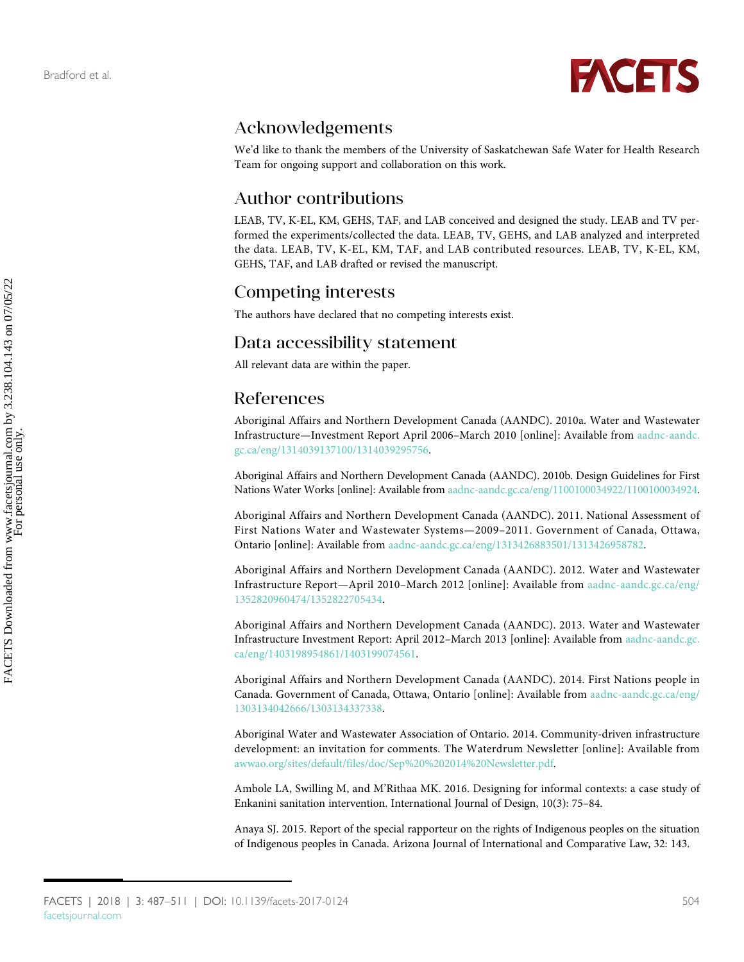<span id="page-17-7"></span><span id="page-17-4"></span><span id="page-17-3"></span>

## Acknowledgements

We'd like to thank the members of the University of Saskatchewan Safe Water for Health Research Team for ongoing support and collaboration on this work.

## Author contributions

<span id="page-17-8"></span><span id="page-17-6"></span><span id="page-17-5"></span>LEAB, TV, K-EL, KM, GEHS, TAF, and LAB conceived and designed the study. LEAB and TV performed the experiments/collected the data. LEAB, TV, GEHS, and LAB analyzed and interpreted the data. LEAB, TV, K-EL, KM, TAF, and LAB contributed resources. LEAB, TV, K-EL, KM, GEHS, TAF, and LAB drafted or revised the manuscript.

## Competing interests

The authors have declared that no competing interests exist.

## Data accessibility statement

All relevant data are within the paper.

## References

Aboriginal Affairs and Northern Development Canada (AANDC). 2010a. Water and Wastewater Infrastructure—Investment Report April 2006–March 2010 [online]: Available from [aadnc-aandc.](https://www.aadnc-aandc.gc.ca/eng/1314039137100/1314039295756) [gc.ca/eng/1314039137100/1314039295756.](https://www.aadnc-aandc.gc.ca/eng/1314039137100/1314039295756)

Aboriginal Affairs and Northern Development Canada (AANDC). 2010b. Design Guidelines for First Nations Water Works [online]: Available from [aadnc-aandc.gc.ca/eng/1100100034922/1100100034924.](http://www.aadnc-aandc.gc.ca/eng/1100100034922/1100100034924)

<span id="page-17-2"></span>Aboriginal Affairs and Northern Development Canada (AANDC). 2011. National Assessment of First Nations Water and Wastewater Systems—2009–2011. Government of Canada, Ottawa, Ontario [online]: Available from [aadnc-aandc.gc.ca/eng/1313426883501/1313426958782.](https://www.aadnc-aandc.gc.ca/eng/1313426883501/1313426958782)

Aboriginal Affairs and Northern Development Canada (AANDC). 2012. Water and Wastewater Infrastructure Report—April 2010–March 2012 [online]: Available from [aadnc-aandc.gc.ca/eng/](https://www.aadnc-aandc.gc.ca/eng/1352820960474/1352822705434) [1352820960474/1352822705434.](https://www.aadnc-aandc.gc.ca/eng/1352820960474/1352822705434)

Aboriginal Affairs and Northern Development Canada (AANDC). 2013. Water and Wastewater Infrastructure Investment Report: April 2012–March 2013 [online]: Available from [aadnc-aandc.gc.](https://www.aadnc-aandc.gc.ca/eng/1403198954861/1403199074561) [ca/eng/1403198954861/1403199074561](https://www.aadnc-aandc.gc.ca/eng/1403198954861/1403199074561).

<span id="page-17-1"></span>Aboriginal Affairs and Northern Development Canada (AANDC). 2014. First Nations people in Canada. Government of Canada, Ottawa, Ontario [online]: Available from [aadnc-aandc.gc.ca/eng/](https://www.aadnc-aandc.gc.ca/eng/1303134042666/1303134337338) [1303134042666/1303134337338.](https://www.aadnc-aandc.gc.ca/eng/1303134042666/1303134337338)

<span id="page-17-9"></span>Aboriginal Water and Wastewater Association of Ontario. 2014. Community-driven infrastructure development: an invitation for comments. The Waterdrum Newsletter [online]: Available from [awwao.org/sites/default/files/doc/Sep%20%202014%20Newsletter.pdf.](http://www.awwao.org/sites/default/files/doc/Sep%20%202014%20Newsletter.pdf)

<span id="page-17-10"></span>Ambole LA, Swilling M, and M'Rithaa MK. 2016. Designing for informal contexts: a case study of Enkanini sanitation intervention. International Journal of Design, 10(3): 75–84.

<span id="page-17-0"></span>Anaya SJ. 2015. Report of the special rapporteur on the rights of Indigenous peoples on the situation of Indigenous peoples in Canada. Arizona Journal of International and Comparative Law, 32: 143.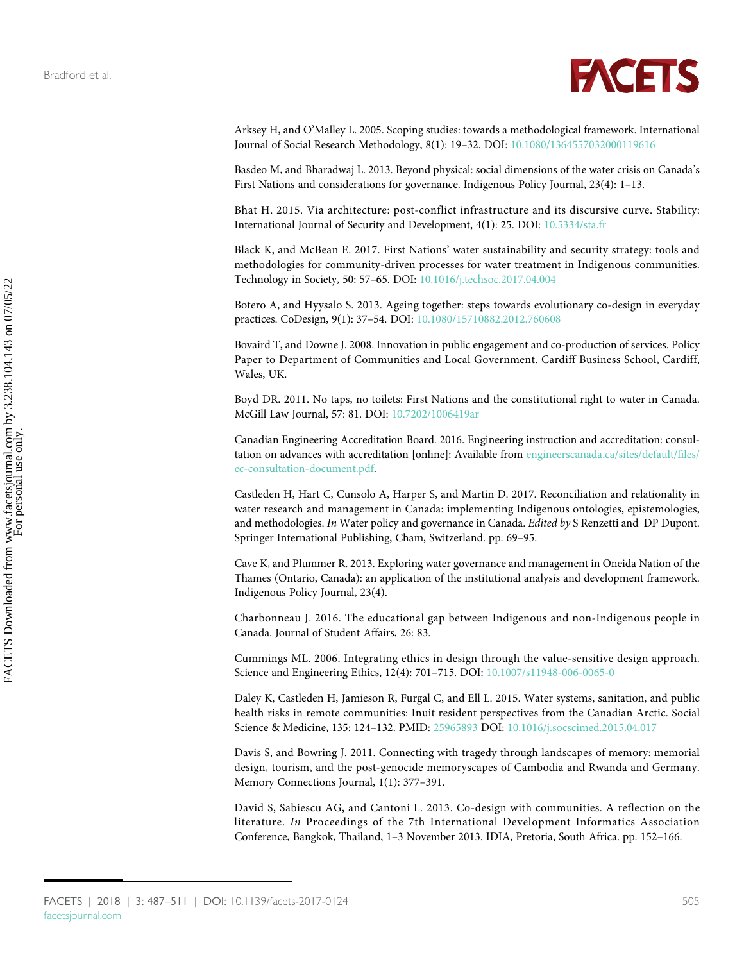

<span id="page-18-10"></span>Arksey H, and O'Malley L. 2005. Scoping studies: towards a methodological framework. International Journal of Social Research Methodology, 8(1): 19–32. DOI: [10.1080/1364557032000119616](http://dx.doi.org/10.1080/1364557032000119616)

<span id="page-18-8"></span>Basdeo M, and Bharadwaj L. 2013. Beyond physical: social dimensions of the water crisis on Canada's First Nations and considerations for governance. Indigenous Policy Journal, 23(4): 1–13.

<span id="page-18-14"></span>Bhat H. 2015. Via architecture: post-conflict infrastructure and its discursive curve. Stability: International Journal of Security and Development, 4(1): 25. DOI: [10.5334/sta.fr](http://dx.doi.org/10.5334/sta.fr)

<span id="page-18-3"></span>Black K, and McBean E. 2017. First Nations' water sustainability and security strategy: tools and methodologies for community-driven processes for water treatment in Indigenous communities. Technology in Society, 50: 57–65. DOI: [10.1016/j.techsoc.2017.04.004](http://dx.doi.org/10.1016/j.techsoc.2017.04.004)

<span id="page-18-7"></span>Botero A, and Hyysalo S. 2013. Ageing together: steps towards evolutionary co-design in everyday practices. CoDesign, 9(1): 37–54. DOI: [10.1080/15710882.2012.760608](http://dx.doi.org/10.1080/15710882.2012.760608)

<span id="page-18-6"></span>Bovaird T, and Downe J. 2008. Innovation in public engagement and co-production of services. Policy Paper to Department of Communities and Local Government. Cardiff Business School, Cardiff, Wales, UK.

<span id="page-18-13"></span>Boyd DR. 2011. No taps, no toilets: First Nations and the constitutional right to water in Canada. McGill Law Journal, 57: 81. DOI: [10.7202/1006419ar](http://dx.doi.org/10.7202/1006419ar)

<span id="page-18-11"></span>Canadian Engineering Accreditation Board. 2016. Engineering instruction and accreditation: consultation on advances with accreditation [online]: Available from [engineerscanada.ca/sites/default/files/](https://engineerscanada.ca/sites/default/files/ec-consultation-document.pdf) [ec-consultation-document.pdf.](https://engineerscanada.ca/sites/default/files/ec-consultation-document.pdf)

<span id="page-18-9"></span>Castleden H, Hart C, Cunsolo A, Harper S, and Martin D. 2017. Reconciliation and relationality in water research and management in Canada: implementing Indigenous ontologies, epistemologies, and methodologies. In Water policy and governance in Canada. Edited by S Renzetti and DP Dupont. Springer International Publishing, Cham, Switzerland. pp. 69–95.

<span id="page-18-12"></span>Cave K, and Plummer R. 2013. Exploring water governance and management in Oneida Nation of the Thames (Ontario, Canada): an application of the institutional analysis and development framework. Indigenous Policy Journal, 23(4).

<span id="page-18-1"></span>Charbonneau J. 2016. The educational gap between Indigenous and non-Indigenous people in Canada. Journal of Student Affairs, 26: 83.

<span id="page-18-0"></span>Cummings ML. 2006. Integrating ethics in design through the value-sensitive design approach. Science and Engineering Ethics, 12(4): 701–715. DOI: [10.1007/s11948-006-0065-0](http://dx.doi.org/10.1007/s11948-006-0065-0)

<span id="page-18-4"></span>Daley K, Castleden H, Jamieson R, Furgal C, and Ell L. 2015. Water systems, sanitation, and public health risks in remote communities: Inuit resident perspectives from the Canadian Arctic. Social Science & Medicine, 135: 124–132. PMID: [25965893](http://www.ncbi.nlm.nih.gov/pubmed/25965893) DOI: [10.1016/j.socscimed.2015.04.017](http://dx.doi.org/10.1016/j.socscimed.2015.04.017)

<span id="page-18-2"></span>Davis S, and Bowring J. 2011. Connecting with tragedy through landscapes of memory: memorial design, tourism, and the post-genocide memoryscapes of Cambodia and Rwanda and Germany. Memory Connections Journal, 1(1): 377–391.

<span id="page-18-5"></span>David S, Sabiescu AG, and Cantoni L. 2013. Co-design with communities. A reflection on the literature. In Proceedings of the 7th International Development Informatics Association Conference, Bangkok, Thailand, 1–3 November 2013. IDIA, Pretoria, South Africa. pp. 152–166.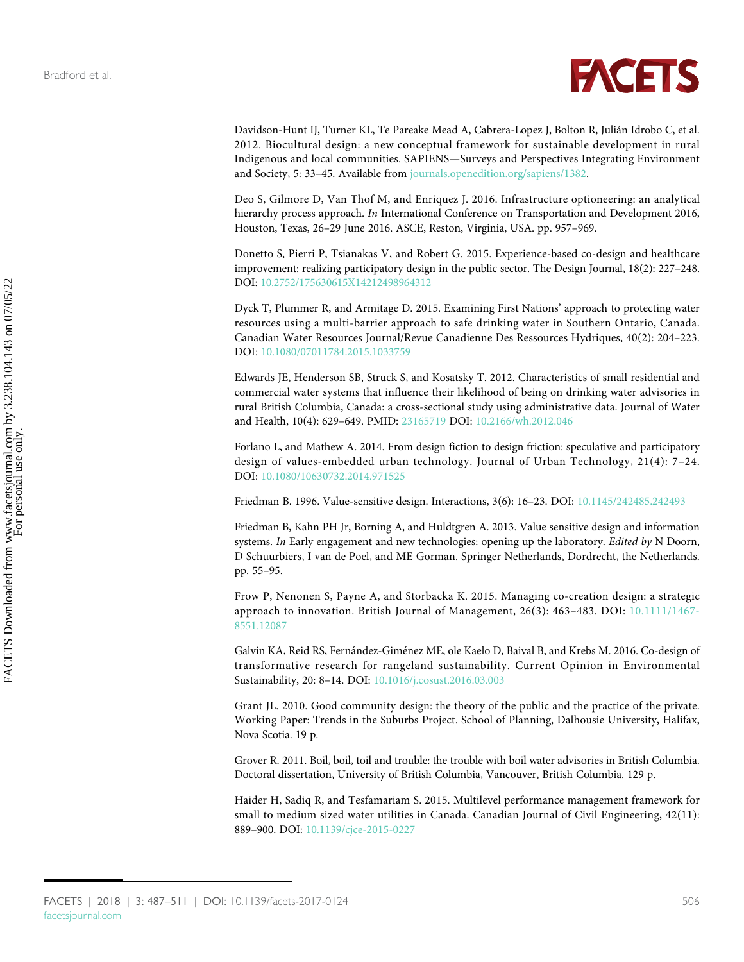

<span id="page-19-4"></span>Davidson-Hunt IJ, Turner KL, Te Pareake Mead A, Cabrera-Lopez J, Bolton R, Julián Idrobo C, et al. 2012. Biocultural design: a new conceptual framework for sustainable development in rural Indigenous and local communities. SAPIENS—Surveys and Perspectives Integrating Environment and Society, 5: 33–45. Available from [journals.openedition.org/sapiens/1382.](https://journals.openedition.org/sapiens/1382)

<span id="page-19-6"></span>Deo S, Gilmore D, Van Thof M, and Enriquez J. 2016. Infrastructure optioneering: an analytical hierarchy process approach. In International Conference on Transportation and Development 2016, Houston, Texas, 26–29 June 2016. ASCE, Reston, Virginia, USA. pp. 957–969.

<span id="page-19-2"></span>Donetto S, Pierri P, Tsianakas V, and Robert G. 2015. Experience-based co-design and healthcare improvement: realizing participatory design in the public sector. The Design Journal, 18(2): 227–248. DOI: [10.2752/175630615X14212498964312](http://dx.doi.org/10.2752/175630615X14212498964312)

<span id="page-19-12"></span>Dyck T, Plummer R, and Armitage D. 2015. Examining First Nations' approach to protecting water resources using a multi-barrier approach to safe drinking water in Southern Ontario, Canada. Canadian Water Resources Journal/Revue Canadienne Des Ressources Hydriques, 40(2): 204–223. DOI: [10.1080/07011784.2015.1033759](http://dx.doi.org/10.1080/07011784.2015.1033759)

<span id="page-19-10"></span>Edwards JE, Henderson SB, Struck S, and Kosatsky T. 2012. Characteristics of small residential and commercial water systems that influence their likelihood of being on drinking water advisories in rural British Columbia, Canada: a cross-sectional study using administrative data. Journal of Water and Health, 10(4): 629–649. PMID: [23165719](http://www.ncbi.nlm.nih.gov/pubmed/23165719) DOI: [10.2166/wh.2012.046](http://dx.doi.org/10.2166/wh.2012.046)

<span id="page-19-11"></span>Forlano L, and Mathew A. 2014. From design fiction to design friction: speculative and participatory design of values-embedded urban technology. Journal of Urban Technology, 21(4): 7–24. DOI: [10.1080/10630732.2014.971525](http://dx.doi.org/10.1080/10630732.2014.971525)

<span id="page-19-0"></span>Friedman B. 1996. Value-sensitive design. Interactions, 3(6): 16–23. DOI: [10.1145/242485.242493](http://dx.doi.org/10.1145/242485.242493)

<span id="page-19-1"></span>Friedman B, Kahn PH Jr, Borning A, and Huldtgren A. 2013. Value sensitive design and information systems. In Early engagement and new technologies: opening up the laboratory. Edited by N Doorn, D Schuurbiers, I van de Poel, and ME Gorman. Springer Netherlands, Dordrecht, the Netherlands. pp. 55–95.

<span id="page-19-5"></span>Frow P, Nenonen S, Payne A, and Storbacka K. 2015. Managing co-creation design: a strategic approach to innovation. British Journal of Management, 26(3): 463–483. DOI: [10.1111/1467-](http://dx.doi.org/10.1111/1467-8551.12087) [8551.12087](http://dx.doi.org/10.1111/1467-8551.12087)

<span id="page-19-7"></span>Galvin KA, Reid RS, Fernández-Giménez ME, ole Kaelo D, Baival B, and Krebs M. 2016. Co-design of transformative research for rangeland sustainability. Current Opinion in Environmental Sustainability, 20: 8–14. DOI: [10.1016/j.cosust.2016.03.003](http://dx.doi.org/10.1016/j.cosust.2016.03.003)

<span id="page-19-3"></span>Grant JL. 2010. Good community design: the theory of the public and the practice of the private. Working Paper: Trends in the Suburbs Project. School of Planning, Dalhousie University, Halifax, Nova Scotia. 19 p.

<span id="page-19-9"></span>Grover R. 2011. Boil, boil, toil and trouble: the trouble with boil water advisories in British Columbia. Doctoral dissertation, University of British Columbia, Vancouver, British Columbia. 129 p.

<span id="page-19-8"></span>Haider H, Sadiq R, and Tesfamariam S. 2015. Multilevel performance management framework for small to medium sized water utilities in Canada. Canadian Journal of Civil Engineering, 42(11): 889–900. DOI: [10.1139/cjce-2015-0227](http://dx.doi.org/10.1139/cjce-2015-0227)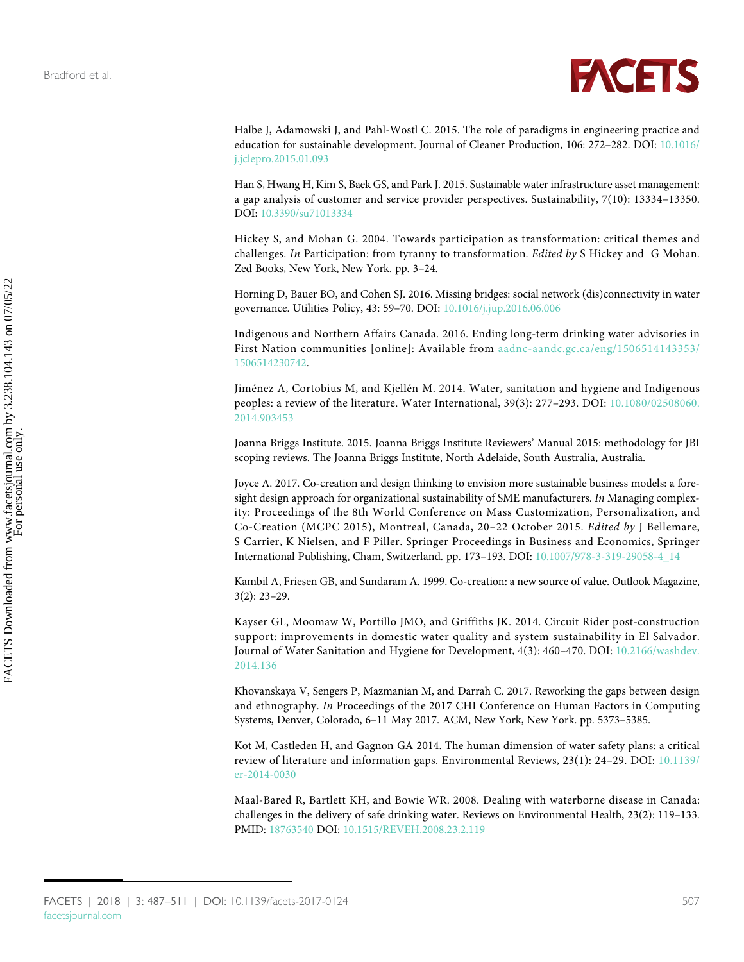<span id="page-20-8"></span><span id="page-20-7"></span><span id="page-20-6"></span>

<span id="page-20-5"></span>Halbe J, Adamowski J, and Pahl-Wostl C. 2015. The role of paradigms in engineering practice and education for sustainable development. Journal of Cleaner Production, 106: 272–282. DOI: [10.1016/](http://dx.doi.org/10.1016/j.jclepro.2015.01.093) [j.jclepro.2015.01.093](http://dx.doi.org/10.1016/j.jclepro.2015.01.093)

<span id="page-20-2"></span>Han S, Hwang H, Kim S, Baek GS, and Park J. 2015. Sustainable water infrastructure asset management: a gap analysis of customer and service provider perspectives. Sustainability, 7(10): 13334–13350. DOI: [10.3390/su71013334](http://dx.doi.org/10.3390/su71013334)

<span id="page-20-1"></span>Hickey S, and Mohan G. 2004. Towards participation as transformation: critical themes and challenges. In Participation: from tyranny to transformation. Edited by S Hickey and G Mohan. Zed Books, New York, New York. pp. 3–24.

<span id="page-20-9"></span>Horning D, Bauer BO, and Cohen SJ. 2016. Missing bridges: social network (dis)connectivity in water governance. Utilities Policy, 43: 59–70. DOI: [10.1016/j.jup.2016.06.006](http://dx.doi.org/10.1016/j.jup.2016.06.006)

<span id="page-20-10"></span>Indigenous and Northern Affairs Canada. 2016. Ending long-term drinking water advisories in First Nation communities [online]: Available from [aadnc-aandc.gc.ca/eng/1506514143353/](https://www.aadnc-aandc.gc.ca/eng/1506514143353/1506514230742) [1506514230742](https://www.aadnc-aandc.gc.ca/eng/1506514143353/1506514230742).

Jiménez A, Cortobius M, and Kjellén M. 2014. Water, sanitation and hygiene and Indigenous peoples: a review of the literature. Water International, 39(3): 277–293. DOI: [10.1080/02508060.](http://dx.doi.org/10.1080/02508060.2014.903453) [2014.903453](http://dx.doi.org/10.1080/02508060.2014.903453)

<span id="page-20-4"></span>Joanna Briggs Institute. 2015. Joanna Briggs Institute Reviewers' Manual 2015: methodology for JBI scoping reviews. The Joanna Briggs Institute, North Adelaide, South Australia, Australia.

<span id="page-20-14"></span>Joyce A. 2017. Co-creation and design thinking to envision more sustainable business models: a foresight design approach for organizational sustainability of SME manufacturers. In Managing complexity: Proceedings of the 8th World Conference on Mass Customization, Personalization, and Co-Creation (MCPC 2015), Montreal, Canada, 20–22 October 2015. Edited by J Bellemare, S Carrier, K Nielsen, and F Piller. Springer Proceedings in Business and Economics, Springer International Publishing, Cham, Switzerland. pp. 173–193. DOI: [10.1007/978-3-319-29058-4\\_14](http://dx.doi.org/10.1007/978-3-319-29058-4_14)

<span id="page-20-0"></span>Kambil A, Friesen GB, and Sundaram A. 1999. Co-creation: a new source of value. Outlook Magazine, 3(2): 23–29.

<span id="page-20-11"></span>Kayser GL, Moomaw W, Portillo JMO, and Griffiths JK. 2014. Circuit Rider post-construction support: improvements in domestic water quality and system sustainability in El Salvador. Journal of Water Sanitation and Hygiene for Development, 4(3): 460–470. DOI: [10.2166/washdev.](http://dx.doi.org/10.2166/washdev.2014.136) [2014.136](http://dx.doi.org/10.2166/washdev.2014.136)

<span id="page-20-13"></span>Khovanskaya V, Sengers P, Mazmanian M, and Darrah C. 2017. Reworking the gaps between design and ethnography. In Proceedings of the 2017 CHI Conference on Human Factors in Computing Systems, Denver, Colorado, 6–11 May 2017. ACM, New York, New York. pp. 5373–5385.

<span id="page-20-12"></span>Kot M, Castleden H, and Gagnon GA 2014. The human dimension of water safety plans: a critical review of literature and information gaps. Environmental Reviews, 23(1): 24–29. DOI: [10.1139/](http://dx.doi.org/10.1139/er-2014-0030) [er-2014-0030](http://dx.doi.org/10.1139/er-2014-0030)

<span id="page-20-3"></span>Maal-Bared R, Bartlett KH, and Bowie WR. 2008. Dealing with waterborne disease in Canada: challenges in the delivery of safe drinking water. Reviews on Environmental Health, 23(2): 119–133. PMID: [18763540](http://www.ncbi.nlm.nih.gov/pubmed/18763540) DOI: [10.1515/REVEH.2008.23.2.119](http://dx.doi.org/10.1515/REVEH.2008.23.2.119)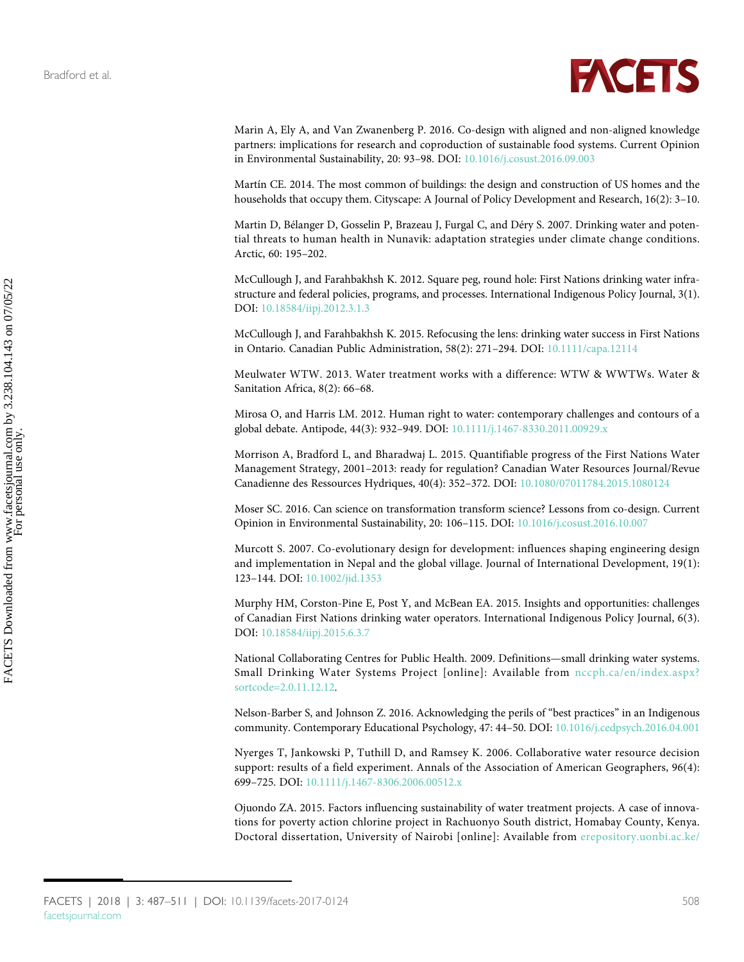<span id="page-21-14"></span><span id="page-21-13"></span>

<span id="page-21-5"></span>Marin A, Ely A, and Van Zwanenberg P. 2016. Co-design with aligned and non-aligned knowledge partners: implications for research and coproduction of sustainable food systems. Current Opinion in Environmental Sustainability, 20: 93–98. DOI: [10.1016/j.cosust.2016.09.003](http://dx.doi.org/10.1016/j.cosust.2016.09.003)

<span id="page-21-2"></span>Martín CE. 2014. The most common of buildings: the design and construction of US homes and the households that occupy them. Cityscape: A Journal of Policy Development and Research, 16(2): 3–10.

<span id="page-21-15"></span><span id="page-21-3"></span>Martin D, Bélanger D, Gosselin P, Brazeau J, Furgal C, and Déry S. 2007. Drinking water and potential threats to human health in Nunavik: adaptation strategies under climate change conditions. Arctic, 60: 195–202.

<span id="page-21-10"></span>McCullough J, and Farahbakhsh K. 2012. Square peg, round hole: First Nations drinking water infrastructure and federal policies, programs, and processes. International Indigenous Policy Journal, 3(1). DOI: [10.18584/iipj.2012.3.1.3](http://dx.doi.org/10.18584/iipj.2012.3.1.3)

McCullough J, and Farahbakhsh K. 2015. Refocusing the lens: drinking water success in First Nations in Ontario. Canadian Public Administration, 58(2): 271–294. DOI: [10.1111/capa.12114](http://dx.doi.org/10.1111/capa.12114)

<span id="page-21-1"></span>Meulwater WTW. 2013. Water treatment works with a difference: WTW & WWTWs. Water & Sanitation Africa, 8(2): 66–68.

<span id="page-21-8"></span>Mirosa O, and Harris LM. 2012. Human right to water: contemporary challenges and contours of a global debate. Antipode, 44(3): 932–949. DOI: [10.1111/j.1467-8330.2011.00929.x](http://dx.doi.org/10.1111/j.1467-8330.2011.00929.x)

<span id="page-21-12"></span>Morrison A, Bradford L, and Bharadwaj L. 2015. Quantifiable progress of the First Nations Water Management Strategy, 2001–2013: ready for regulation? Canadian Water Resources Journal/Revue Canadienne des Ressources Hydriques, 40(4): 352–372. DOI: [10.1080/07011784.2015.1080124](http://dx.doi.org/10.1080/07011784.2015.1080124)

<span id="page-21-6"></span>Moser SC. 2016. Can science on transformation transform science? Lessons from co-design. Current Opinion in Environmental Sustainability, 20: 106–115. DOI: [10.1016/j.cosust.2016.10.007](http://dx.doi.org/10.1016/j.cosust.2016.10.007)

Murcott S. 2007. Co-evolutionary design for development: influences shaping engineering design and implementation in Nepal and the global village. Journal of International Development, 19(1): 123–144. DOI: [10.1002/jid.1353](http://dx.doi.org/10.1002/jid.1353)

<span id="page-21-9"></span>Murphy HM, Corston-Pine E, Post Y, and McBean EA. 2015. Insights and opportunities: challenges of Canadian First Nations drinking water operators. International Indigenous Policy Journal, 6(3). DOI: [10.18584/iipj.2015.6.3.7](http://dx.doi.org/10.18584/iipj.2015.6.3.7)

<span id="page-21-11"></span>National Collaborating Centres for Public Health. 2009. Definitions—small drinking water systems. Small Drinking Water Systems Project [online]: Available from [nccph.ca/en/index.aspx?](http://www.nccph.ca/en/index.aspx?sortcode=2.0.11.12.12) [sortcode=2.0.11.12.12](http://www.nccph.ca/en/index.aspx?sortcode=2.0.11.12.12).

<span id="page-21-0"></span>Nelson-Barber S, and Johnson Z. 2016. Acknowledging the perils of "best practices" in an Indigenous community. Contemporary Educational Psychology, 47: 44–50. DOI: [10.1016/j.cedpsych.2016.04.001](http://dx.doi.org/10.1016/j.cedpsych.2016.04.001)

<span id="page-21-4"></span>Nyerges T, Jankowski P, Tuthill D, and Ramsey K. 2006. Collaborative water resource decision support: results of a field experiment. Annals of the Association of American Geographers, 96(4): 699–725. DOI: [10.1111/j.1467-8306.2006.00512.x](http://dx.doi.org/10.1111/j.1467-8306.2006.00512.x)

<span id="page-21-7"></span>Ojuondo ZA. 2015. Factors influencing sustainability of water treatment projects. A case of innovations for poverty action chlorine project in Rachuonyo South district, Homabay County, Kenya. Doctoral dissertation, University of Nairobi [online]: Available from [erepository.uonbi.ac.ke/](http://erepository.uonbi.ac.ke/bitstream/handle/11295/90223/Ojuondo%20Zipporah%20A_Factors%20influencing%20sustainability%20of%20water%20treatment%20projects.%20A%20case%20of%20innovations%20for%20poverty%20action%20chlorine%20project%20in%20rachuonyo%20south%20district,%20homabay%20county,%20kenya.pdf?sequence=4)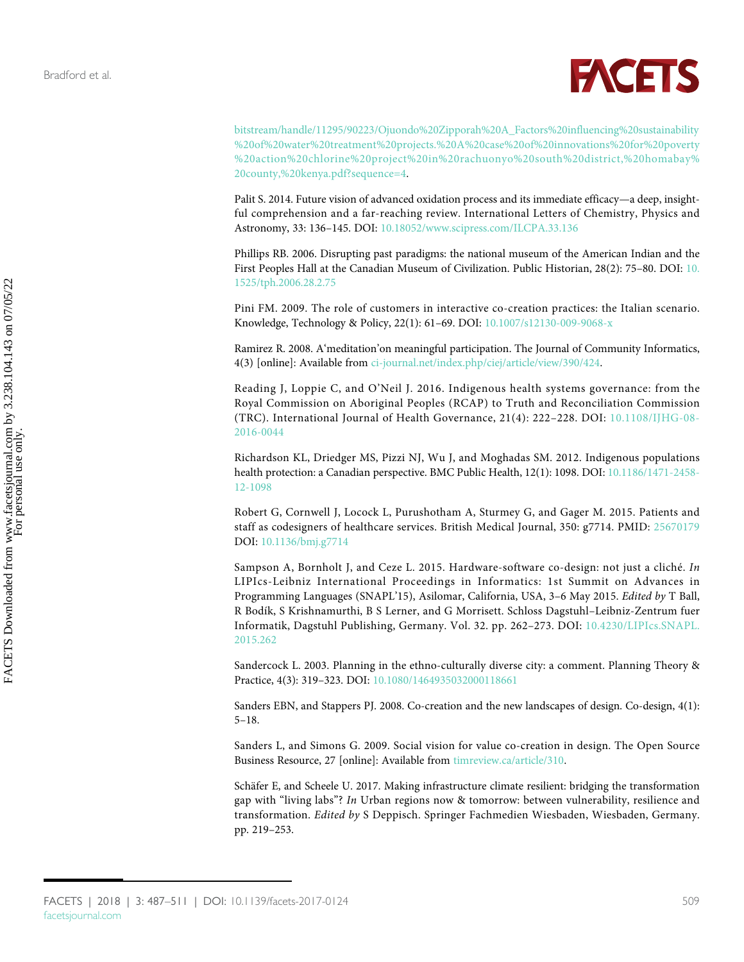

[bitstream/handle/11295/90223/Ojuondo%20Zipporah%20A\\_Factors%20influencing%20sustainability](http://erepository.uonbi.ac.ke/bitstream/handle/11295/90223/Ojuondo%20Zipporah%20A_Factors%20influencing%20sustainability%20of%20water%20treatment%20projects.%20A%20case%20of%20innovations%20for%20poverty%20action%20chlorine%20project%20in%20rachuonyo%20south%20district,%20homabay%20county,%20kenya.pdf?sequence=4) [%20of%20water%20treatment%20projects.%20A%20case%20of%20innovations%20for%20poverty](http://erepository.uonbi.ac.ke/bitstream/handle/11295/90223/Ojuondo%20Zipporah%20A_Factors%20influencing%20sustainability%20of%20water%20treatment%20projects.%20A%20case%20of%20innovations%20for%20poverty%20action%20chlorine%20project%20in%20rachuonyo%20south%20district,%20homabay%20county,%20kenya.pdf?sequence=4) [%20action%20chlorine%20project%20in%20rachuonyo%20south%20district,%20homabay%](http://erepository.uonbi.ac.ke/bitstream/handle/11295/90223/Ojuondo%20Zipporah%20A_Factors%20influencing%20sustainability%20of%20water%20treatment%20projects.%20A%20case%20of%20innovations%20for%20poverty%20action%20chlorine%20project%20in%20rachuonyo%20south%20district,%20homabay%20county,%20kenya.pdf?sequence=4) [20county,%20kenya.pdf?sequence=4](http://erepository.uonbi.ac.ke/bitstream/handle/11295/90223/Ojuondo%20Zipporah%20A_Factors%20influencing%20sustainability%20of%20water%20treatment%20projects.%20A%20case%20of%20innovations%20for%20poverty%20action%20chlorine%20project%20in%20rachuonyo%20south%20district,%20homabay%20county,%20kenya.pdf?sequence=4).

<span id="page-22-11"></span>Palit S. 2014. Future vision of advanced oxidation process and its immediate efficacy—a deep, insightful comprehension and a far-reaching review. International Letters of Chemistry, Physics and Astronomy, 33: 136–145. DOI: [10.18052/www.scipress.com/ILCPA.33.136](http://dx.doi.org/10.18052/www.scipress.com/ILCPA.33.136)

<span id="page-22-1"></span>Phillips RB. 2006. Disrupting past paradigms: the national museum of the American Indian and the First Peoples Hall at the Canadian Museum of Civilization. Public Historian, 28(2): 75–80. DOI: [10.](http://dx.doi.org/10.1525/tph.2006.28.2.75) [1525/tph.2006.28.2.75](http://dx.doi.org/10.1525/tph.2006.28.2.75)

<span id="page-22-6"></span>Pini FM. 2009. The role of customers in interactive co-creation practices: the Italian scenario. Knowledge, Technology & Policy, 22(1): 61–69. DOI: [10.1007/s12130-009-9068-x](http://dx.doi.org/10.1007/s12130-009-9068-x)

<span id="page-22-9"></span>Ramirez R. 2008. A'meditation'on meaningful participation. The Journal of Community Informatics, 4(3) [online]: Available from [ci-journal.net/index.php/ciej/article/view/390/424.](http://ci-journal.net/index.php/ciej/article/view/390/424)

<span id="page-22-4"></span>Reading J, Loppie C, and O'Neil J. 2016. Indigenous health systems governance: from the Royal Commission on Aboriginal Peoples (RCAP) to Truth and Reconciliation Commission (TRC). International Journal of Health Governance, 21(4): 222–228. DOI: [10.1108/IJHG-08-](http://dx.doi.org/10.1108/IJHG-08-2016-0044) [2016-0044](http://dx.doi.org/10.1108/IJHG-08-2016-0044)

<span id="page-22-3"></span>Richardson KL, Driedger MS, Pizzi NJ, Wu J, and Moghadas SM. 2012. Indigenous populations health protection: a Canadian perspective. BMC Public Health, 12(1): 1098. DOI: [10.1186/1471-2458-](http://dx.doi.org/10.1186/1471-2458-12-1098) [12-1098](http://dx.doi.org/10.1186/1471-2458-12-1098)

<span id="page-22-0"></span>Robert G, Cornwell J, Locock L, Purushotham A, Sturmey G, and Gager M. 2015. Patients and staff as codesigners of healthcare services. British Medical Journal, 350: g7714. PMID: [25670179](http://www.ncbi.nlm.nih.gov/pubmed/25670179) DOI: [10.1136/bmj.g7714](http://dx.doi.org/10.1136/bmj.g7714)

<span id="page-22-8"></span>Sampson A, Bornholt J, and Ceze L. 2015. Hardware-software co-design: not just a cliché. In LIPIcs-Leibniz International Proceedings in Informatics: 1st Summit on Advances in Programming Languages (SNAPL'15), Asilomar, California, USA, 3–6 May 2015. Edited by T Ball, R Bodík, S Krishnamurthi, B S Lerner, and G Morrisett. Schloss Dagstuhl–Leibniz-Zentrum fuer Informatik, Dagstuhl Publishing, Germany. Vol. 32. pp. 262–273. DOI: [10.4230/LIPIcs.SNAPL.](http://dx.doi.org/10.4230/LIPIcs.SNAPL.2015.262) [2015.262](http://dx.doi.org/10.4230/LIPIcs.SNAPL.2015.262)

<span id="page-22-2"></span>Sandercock L. 2003. Planning in the ethno-culturally diverse city: a comment. Planning Theory & Practice, 4(3): 319–323. DOI: [10.1080/1464935032000118661](http://dx.doi.org/10.1080/1464935032000118661)

<span id="page-22-5"></span>Sanders EBN, and Stappers PJ. 2008. Co-creation and the new landscapes of design. Co-design, 4(1): 5–18.

<span id="page-22-7"></span>Sanders L, and Simons G. 2009. Social vision for value co-creation in design. The Open Source Business Resource, 27 [online]: Available from [timreview.ca/article/310](http://timreview.ca/article/310).

<span id="page-22-10"></span>Schäfer E, and Scheele U. 2017. Making infrastructure climate resilient: bridging the transformation gap with "living labs"? In Urban regions now & tomorrow: between vulnerability, resilience and transformation. Edited by S Deppisch. Springer Fachmedien Wiesbaden, Wiesbaden, Germany. pp. 219–253.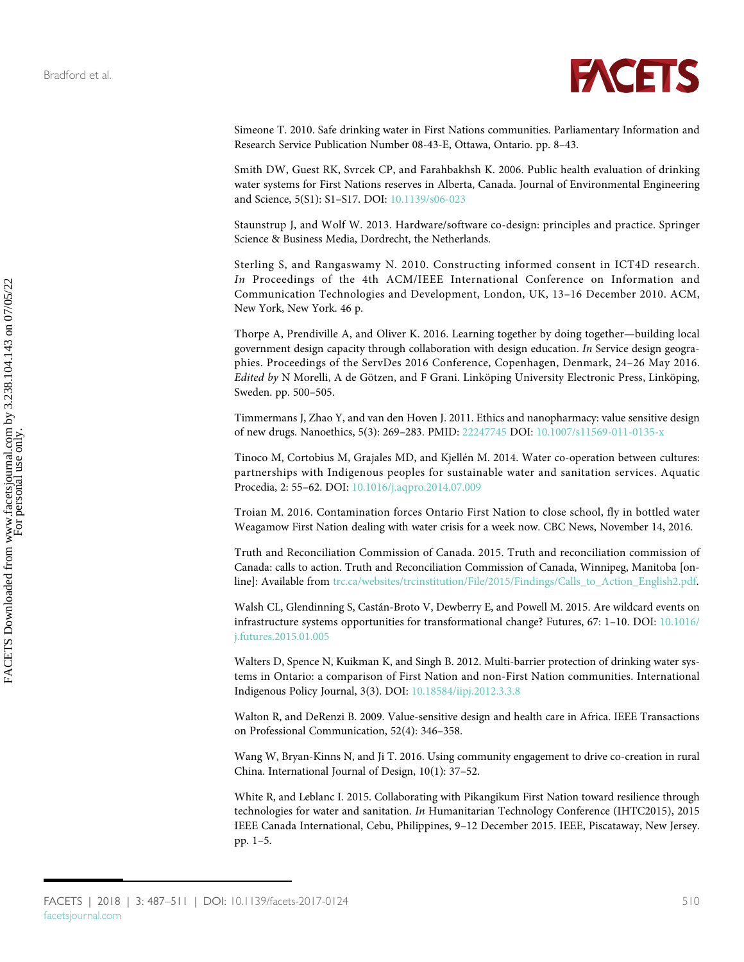<span id="page-23-13"></span><span id="page-23-12"></span><span id="page-23-11"></span>

<span id="page-23-14"></span>Simeone T. 2010. Safe drinking water in First Nations communities. Parliamentary Information and Research Service Publication Number 08-43-E, Ottawa, Ontario. pp. 8–43.

<span id="page-23-9"></span>Smith DW, Guest RK, Svrcek CP, and Farahbakhsh K. 2006. Public health evaluation of drinking water systems for First Nations reserves in Alberta, Canada. Journal of Environmental Engineering and Science, 5(S1): S1–S17. DOI: [10.1139/s06-023](http://dx.doi.org/10.1139/s06-023)

<span id="page-23-10"></span><span id="page-23-4"></span>Staunstrup J, and Wolf W. 2013. Hardware/software co-design: principles and practice. Springer Science & Business Media, Dordrecht, the Netherlands.

<span id="page-23-3"></span>Sterling S, and Rangaswamy N. 2010. Constructing informed consent in ICT4D research. In Proceedings of the 4th ACM/IEEE International Conference on Information and Communication Technologies and Development, London, UK, 13–16 December 2010. ACM, New York, New York. 46 p.

<span id="page-23-5"></span>Thorpe A, Prendiville A, and Oliver K. 2016. Learning together by doing together—building local government design capacity through collaboration with design education. In Service design geographies. Proceedings of the ServDes 2016 Conference, Copenhagen, Denmark, 24–26 May 2016. Edited by N Morelli, A de Götzen, and F Grani. Linköping University Electronic Press, Linköping, Sweden. pp. 500–505.

<span id="page-23-0"></span>Timmermans J, Zhao Y, and van den Hoven J. 2011. Ethics and nanopharmacy: value sensitive design of new drugs. Nanoethics, 5(3): 269–283. PMID: [22247745](http://www.ncbi.nlm.nih.gov/pubmed/22247745) DOI: [10.1007/s11569-011-0135-x](http://dx.doi.org/10.1007/s11569-011-0135-x)

Tinoco M, Cortobius M, Grajales MD, and Kjellén M. 2014. Water co-operation between cultures: partnerships with Indigenous peoples for sustainable water and sanitation services. Aquatic Procedia, 2: 55–62. DOI: [10.1016/j.aqpro.2014.07.009](http://dx.doi.org/10.1016/j.aqpro.2014.07.009)

<span id="page-23-8"></span>Troian M. 2016. Contamination forces Ontario First Nation to close school, fly in bottled water Weagamow First Nation dealing with water crisis for a week now. CBC News, November 14, 2016.

<span id="page-23-2"></span>Truth and Reconciliation Commission of Canada. 2015. Truth and reconciliation commission of Canada: calls to action. Truth and Reconciliation Commission of Canada, Winnipeg, Manitoba [online]: Available from [trc.ca/websites/trcinstitution/File/2015/Findings/Calls\\_to\\_Action\\_English2.pdf](http://www.trc.ca/websites/trcinstitution/File/2015/Findings/Calls_to_Action_English2.pdf).

<span id="page-23-6"></span>Walsh CL, Glendinning S, Castán-Broto V, Dewberry E, and Powell M. 2015. Are wildcard events on infrastructure systems opportunities for transformational change? Futures, 67: 1–10. DOI: [10.1016/](http://dx.doi.org/10.1016/j.futures.2015.01.005) [j.futures.2015.01.005](http://dx.doi.org/10.1016/j.futures.2015.01.005)

<span id="page-23-7"></span>Walters D, Spence N, Kuikman K, and Singh B. 2012. Multi-barrier protection of drinking water systems in Ontario: a comparison of First Nation and non-First Nation communities. International Indigenous Policy Journal, 3(3). DOI: [10.18584/iipj.2012.3.3.8](http://dx.doi.org/10.18584/iipj.2012.3.3.8)

<span id="page-23-1"></span>Walton R, and DeRenzi B. 2009. Value-sensitive design and health care in Africa. IEEE Transactions on Professional Communication, 52(4): 346–358.

<span id="page-23-15"></span>Wang W, Bryan-Kinns N, and Ji T. 2016. Using community engagement to drive co-creation in rural China. International Journal of Design, 10(1): 37–52.

White R, and Leblanc I. 2015. Collaborating with Pikangikum First Nation toward resilience through technologies for water and sanitation. In Humanitarian Technology Conference (IHTC2015), 2015 IEEE Canada International, Cebu, Philippines, 9–12 December 2015. IEEE, Piscataway, New Jersey. pp. 1–5.